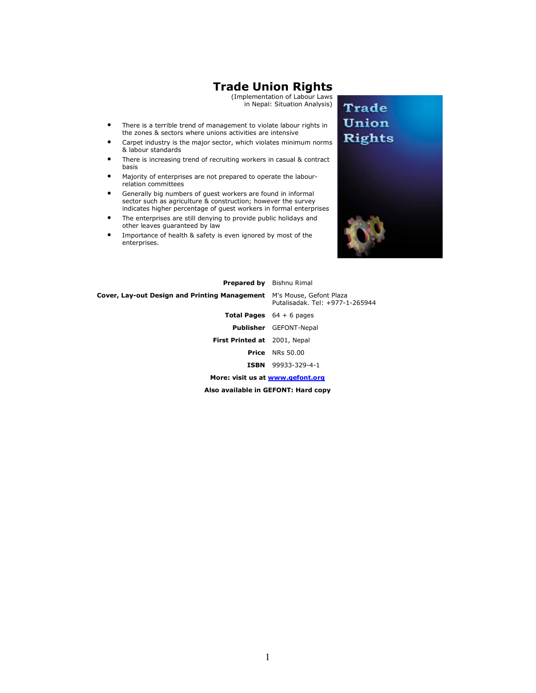# Trade Union Rights

(Implementation of Labour Laws in Nepal: Situation Analysis)

- There is a terrible trend of management to violate labour rights in the zones & sectors where unions activities are intensive
- Carpet industry is the major sector, which violates minimum norms & labour standards
- There is increasing trend of recruiting workers in casual & contract basis
- Majority of enterprises are not prepared to operate the labourrelation committees
- Generally big numbers of guest workers are found in informal sector such as agriculture & construction; however the survey indicates higher percentage of guest workers in formal enterprises
- The enterprises are still denying to provide public holidays and other leaves guaranteed by law
- Importance of health & safety is even ignored by most of the enterprises.



Prepared by Bishnu Rimal Cover, Lay-out Design and Printing Management M's Mouse, Gefont Plaza Putalisadak. Tel: +977-1-265944 **Total Pages**  $64 + 6$  pages Publisher GEFONT-Nepal First Printed at 2001, Nepal Price NRs 50.00 ISBN 99933-329-4-1 More: visit us at www.gefont.org Also available in GEFONT: Hard copy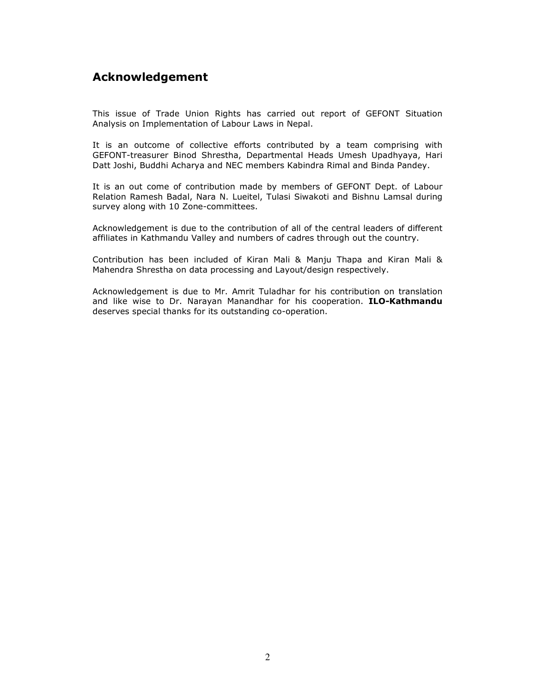# Acknowledgement

This issue of Trade Union Rights has carried out report of GEFONT Situation Analysis on Implementation of Labour Laws in Nepal.

It is an outcome of collective efforts contributed by a team comprising with GEFONT-treasurer Binod Shrestha, Departmental Heads Umesh Upadhyaya, Hari Datt Joshi, Buddhi Acharya and NEC members Kabindra Rimal and Binda Pandey.

It is an out come of contribution made by members of GEFONT Dept. of Labour Relation Ramesh Badal, Nara N. Lueitel, Tulasi Siwakoti and Bishnu Lamsal during survey along with 10 Zone-committees.

Acknowledgement is due to the contribution of all of the central leaders of different affiliates in Kathmandu Valley and numbers of cadres through out the country.

Contribution has been included of Kiran Mali & Manju Thapa and Kiran Mali & Mahendra Shrestha on data processing and Layout/design respectively.

Acknowledgement is due to Mr. Amrit Tuladhar for his contribution on translation and like wise to Dr. Narayan Manandhar for his cooperation. ILO-Kathmandu deserves special thanks for its outstanding co-operation.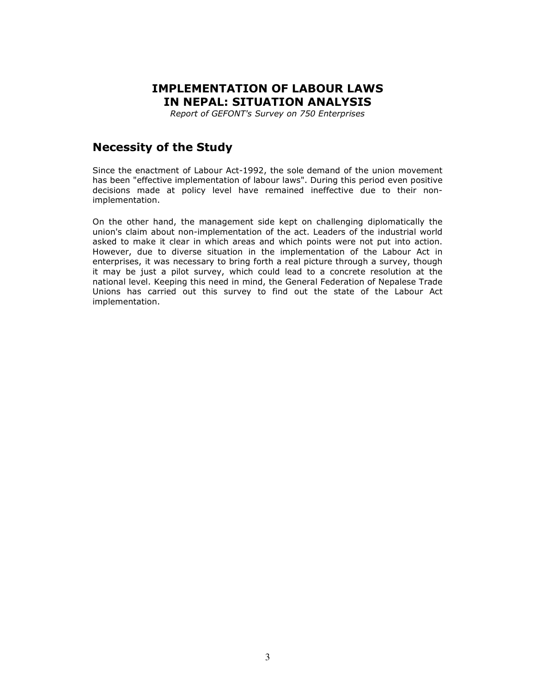# IMPLEMENTATION OF LABOUR LAWS IN NEPAL: SITUATION ANALYSIS

Report of GEFONT's Survey on 750 Enterprises

## Necessity of the Study

Since the enactment of Labour Act-1992, the sole demand of the union movement has been "effective implementation of labour laws". During this period even positive decisions made at policy level have remained ineffective due to their nonimplementation.

On the other hand, the management side kept on challenging diplomatically the union's claim about non-implementation of the act. Leaders of the industrial world asked to make it clear in which areas and which points were not put into action. However, due to diverse situation in the implementation of the Labour Act in enterprises, it was necessary to bring forth a real picture through a survey, though it may be just a pilot survey, which could lead to a concrete resolution at the national level. Keeping this need in mind, the General Federation of Nepalese Trade Unions has carried out this survey to find out the state of the Labour Act implementation.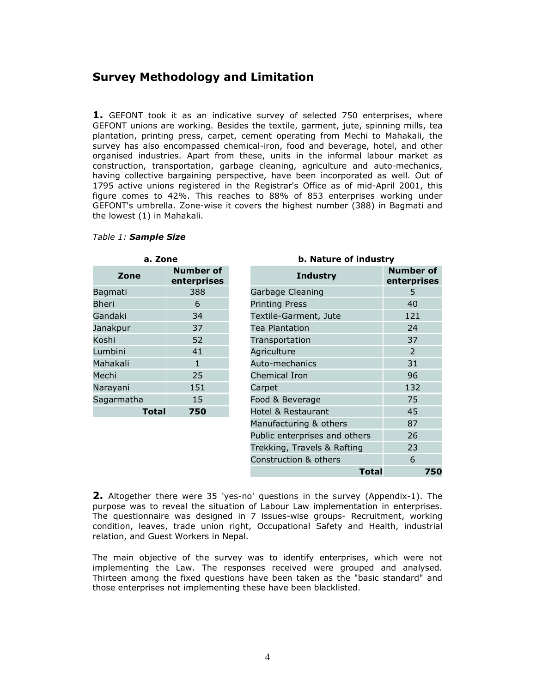# Survey Methodology and Limitation

**1.** GEFONT took it as an indicative survey of selected 750 enterprises, where GEFONT unions are working. Besides the textile, garment, jute, spinning mills, tea plantation, printing press, carpet, cement operating from Mechi to Mahakali, the survey has also encompassed chemical-iron, food and beverage, hotel, and other organised industries. Apart from these, units in the informal labour market as construction, transportation, garbage cleaning, agriculture and auto-mechanics, having collective bargaining perspective, have been incorporated as well. Out of 1795 active unions registered in the Registrar's Office as of mid-April 2001, this figure comes to 42%. This reaches to 88% of 853 enterprises working under GEFONT's umbrella. Zone-wise it covers the highest number (388) in Bagmati and the lowest (1) in Mahakali.

| a. Zone      |                                 | b. Nature of industry         |                         |
|--------------|---------------------------------|-------------------------------|-------------------------|
| Zone         | <b>Number of</b><br>enterprises | <b>Industry</b>               | <b>Numbe</b><br>enterpr |
| Bagmati      | 388                             | Garbage Cleaning              | 5                       |
| <b>Bheri</b> | 6                               | <b>Printing Press</b>         | 40                      |
| Gandaki      | 34                              | Textile-Garment, Jute         | 121                     |
| Janakpur     | 37                              | <b>Tea Plantation</b>         | 24                      |
| Koshi        | 52                              | Transportation                | 37                      |
| Lumbini      | 41                              | Agriculture                   | $\mathcal{P}$           |
| Mahakali     | 1                               | Auto-mechanics                | 31                      |
| Mechi        | 25                              | Chemical Iron                 | 96                      |
| Narayani     | 151                             | Carpet                        | 132                     |
| Sagarmatha   | 15                              | Food & Beverage               | 75                      |
| Total        | 750                             | <b>Hotel &amp; Restaurant</b> | 45                      |
|              |                                 | Manufacturing & others        | 87                      |
|              |                                 |                               |                         |

#### Table 1: Sample Size

| a. Zone |                                 | b. Nature of industry         |                                 |     |  |  |
|---------|---------------------------------|-------------------------------|---------------------------------|-----|--|--|
|         | <b>Number of</b><br>enterprises | <b>Industry</b>               | <b>Number of</b><br>enterprises |     |  |  |
|         | 388                             | Garbage Cleaning              | 5                               |     |  |  |
|         | 6                               | <b>Printing Press</b>         | 40                              |     |  |  |
|         | 34                              | Textile-Garment, Jute         | 121                             |     |  |  |
|         | 37                              | Tea Plantation                | 24                              |     |  |  |
|         | 52                              | Transportation                | 37                              |     |  |  |
|         | 41                              | Agriculture                   |                                 |     |  |  |
|         | $\mathbf{1}$                    | Auto-mechanics                | 31                              |     |  |  |
|         | 25                              | Chemical Iron                 | 96                              |     |  |  |
|         | 151                             | Carpet                        | 132                             |     |  |  |
|         | 15                              | Food & Beverage               | 75                              |     |  |  |
| Total   | 750                             | Hotel & Restaurant            | 45                              |     |  |  |
|         |                                 | Manufacturing & others        | 87                              |     |  |  |
|         |                                 | Public enterprises and others | 26                              |     |  |  |
|         |                                 | Trekking, Travels & Rafting   | 23                              |     |  |  |
|         |                                 | Construction & others         | 6                               |     |  |  |
|         |                                 | <b>Total</b>                  |                                 | 750 |  |  |

2. Altogether there were 35 'yes-no' questions in the survey (Appendix-1). The purpose was to reveal the situation of Labour Law implementation in enterprises. The questionnaire was designed in 7 issues-wise groups- Recruitment, working condition, leaves, trade union right, Occupational Safety and Health, industrial relation, and Guest Workers in Nepal.

The main objective of the survey was to identify enterprises, which were not implementing the Law. The responses received were grouped and analysed. Thirteen among the fixed questions have been taken as the "basic standard" and those enterprises not implementing these have been blacklisted.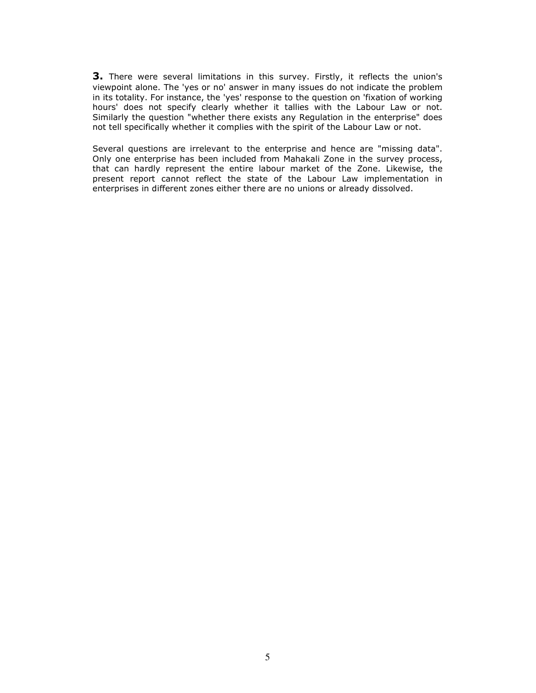3. There were several limitations in this survey. Firstly, it reflects the union's viewpoint alone. The 'yes or no' answer in many issues do not indicate the problem in its totality. For instance, the 'yes' response to the question on 'fixation of working hours' does not specify clearly whether it tallies with the Labour Law or not. Similarly the question "whether there exists any Regulation in the enterprise" does not tell specifically whether it complies with the spirit of the Labour Law or not.

Several questions are irrelevant to the enterprise and hence are "missing data". Only one enterprise has been included from Mahakali Zone in the survey process, that can hardly represent the entire labour market of the Zone. Likewise, the present report cannot reflect the state of the Labour Law implementation in enterprises in different zones either there are no unions or already dissolved.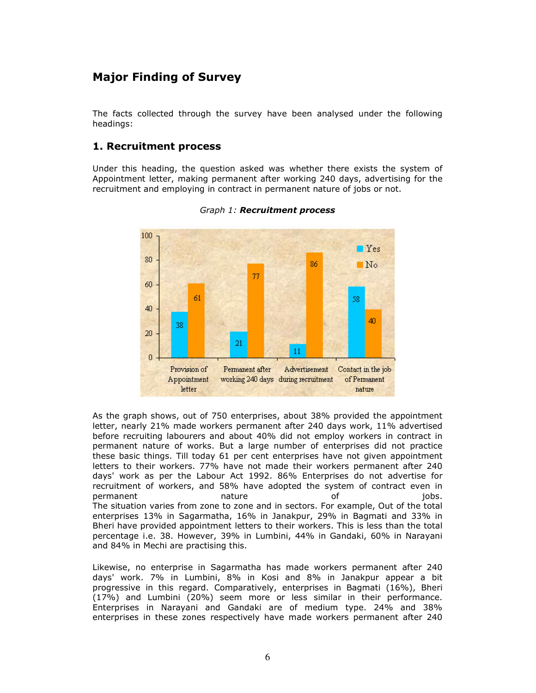# Major Finding of Survey

The facts collected through the survey have been analysed under the following headings:

#### 1. Recruitment process

Under this heading, the question asked was whether there exists the system of Appointment letter, making permanent after working 240 days, advertising for the recruitment and employing in contract in permanent nature of jobs or not.



#### Graph 1: Recruitment process

As the graph shows, out of 750 enterprises, about 38% provided the appointment letter, nearly 21% made workers permanent after 240 days work, 11% advertised before recruiting labourers and about 40% did not employ workers in contract in permanent nature of works. But a large number of enterprises did not practice these basic things. Till today 61 per cent enterprises have not given appointment letters to their workers. 77% have not made their workers permanent after 240 days' work as per the Labour Act 1992. 86% Enterprises do not advertise for recruitment of workers, and 58% have adopted the system of contract even in permanent **nature** nature of the jobs. The situation varies from zone to zone and in sectors. For example, Out of the total enterprises 13% in Sagarmatha, 16% in Janakpur, 29% in Bagmati and 33% in Bheri have provided appointment letters to their workers. This is less than the total percentage i.e. 38. However, 39% in Lumbini, 44% in Gandaki, 60% in Narayani and 84% in Mechi are practising this.

Likewise, no enterprise in Sagarmatha has made workers permanent after 240 days' work. 7% in Lumbini, 8% in Kosi and 8% in Janakpur appear a bit progressive in this regard. Comparatively, enterprises in Bagmati (16%), Bheri (17%) and Lumbini (20%) seem more or less similar in their performance. Enterprises in Narayani and Gandaki are of medium type. 24% and 38% enterprises in these zones respectively have made workers permanent after 240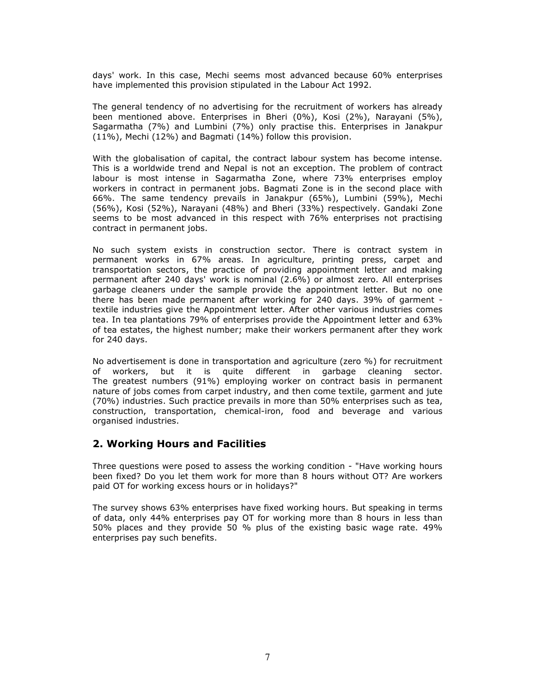days' work. In this case, Mechi seems most advanced because 60% enterprises have implemented this provision stipulated in the Labour Act 1992.

The general tendency of no advertising for the recruitment of workers has already been mentioned above. Enterprises in Bheri (0%), Kosi (2%), Narayani (5%), Sagarmatha (7%) and Lumbini (7%) only practise this. Enterprises in Janakpur (11%), Mechi (12%) and Bagmati (14%) follow this provision.

With the globalisation of capital, the contract labour system has become intense. This is a worldwide trend and Nepal is not an exception. The problem of contract labour is most intense in Sagarmatha Zone, where 73% enterprises employ workers in contract in permanent jobs. Bagmati Zone is in the second place with 66%. The same tendency prevails in Janakpur (65%), Lumbini (59%), Mechi (56%), Kosi (52%), Narayani (48%) and Bheri (33%) respectively. Gandaki Zone seems to be most advanced in this respect with 76% enterprises not practising contract in permanent jobs.

No such system exists in construction sector. There is contract system in permanent works in 67% areas. In agriculture, printing press, carpet and transportation sectors, the practice of providing appointment letter and making permanent after 240 days' work is nominal (2.6%) or almost zero. All enterprises garbage cleaners under the sample provide the appointment letter. But no one there has been made permanent after working for 240 days. 39% of garment textile industries give the Appointment letter. After other various industries comes tea. In tea plantations 79% of enterprises provide the Appointment letter and 63% of tea estates, the highest number; make their workers permanent after they work for 240 days.

No advertisement is done in transportation and agriculture (zero %) for recruitment of workers, but it is quite different in garbage cleaning sector. The greatest numbers (91%) employing worker on contract basis in permanent nature of jobs comes from carpet industry, and then come textile, garment and jute (70%) industries. Such practice prevails in more than 50% enterprises such as tea, construction, transportation, chemical-iron, food and beverage and various organised industries.

### 2. Working Hours and Facilities

Three questions were posed to assess the working condition - "Have working hours been fixed? Do you let them work for more than 8 hours without OT? Are workers paid OT for working excess hours or in holidays?"

The survey shows 63% enterprises have fixed working hours. But speaking in terms of data, only 44% enterprises pay OT for working more than 8 hours in less than 50% places and they provide 50 % plus of the existing basic wage rate. 49% enterprises pay such benefits.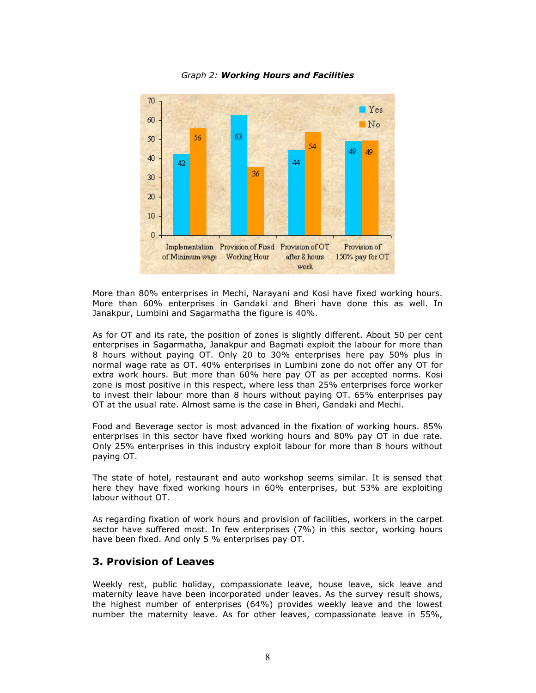

#### Graph 2: Working Hours and Facilities

More than 80% enterprises in Mechi, Narayani and Kosi have fixed working hours. More than 60% enterprises in Gandaki and Bheri have done this as well. In Janakpur, Lumbini and Sagarmatha the figure is 40%.

As for OT and its rate, the position of zones is slightly different. About 50 per cent enterprises in Sagarmatha, Janakpur and Bagmati exploit the labour for more than 8 hours without paying OT. Only 20 to 30% enterprises here pay 50% plus in normal wage rate as OT. 40% enterprises in Lumbini zone do not offer any OT for extra work hours. But more than 60% here pay OT as per accepted norms. Kosi zone is most positive in this respect, where less than 25% enterprises force worker to invest their labour more than 8 hours without paying OT. 65% enterprises pay OT at the usual rate. Almost same is the case in Bheri, Gandaki and Mechi.

Food and Beverage sector is most advanced in the fixation of working hours. 85% enterprises in this sector have fixed working hours and 80% pay OT in due rate. Only 25% enterprises in this industry exploit labour for more than 8 hours without paying OT.

The state of hotel, restaurant and auto workshop seems similar. It is sensed that here they have fixed working hours in 60% enterprises, but 53% are exploiting labour without OT.

As regarding fixation of work hours and provision of facilities, workers in the carpet sector have suffered most. In few enterprises (7%) in this sector, working hours have been fixed. And only 5 % enterprises pay OT.

#### 3. Provision of Leaves

Weekly rest, public holiday, compassionate leave, house leave, sick leave and maternity leave have been incorporated under leaves. As the survey result shows, the highest number of enterprises (64%) provides weekly leave and the lowest number the maternity leave. As for other leaves, compassionate leave in 55%,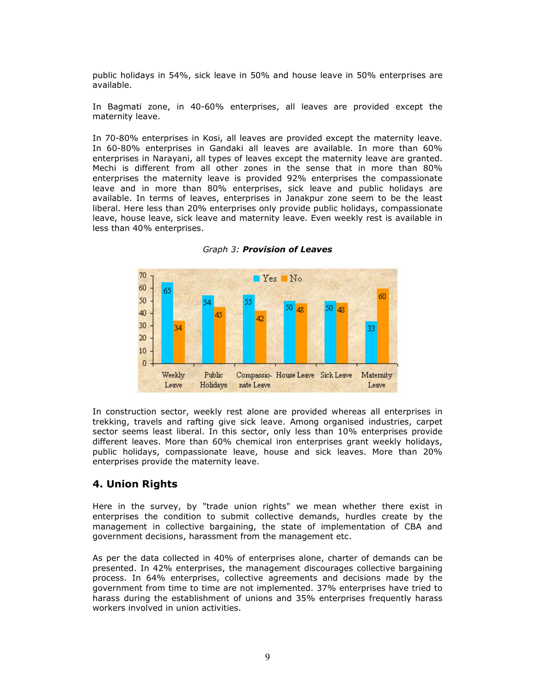public holidays in 54%, sick leave in 50% and house leave in 50% enterprises are available.

In Bagmati zone, in 40-60% enterprises, all leaves are provided except the maternity leave.

In 70-80% enterprises in Kosi, all leaves are provided except the maternity leave. In 60-80% enterprises in Gandaki all leaves are available. In more than 60% enterprises in Narayani, all types of leaves except the maternity leave are granted. Mechi is different from all other zones in the sense that in more than 80% enterprises the maternity leave is provided 92% enterprises the compassionate leave and in more than 80% enterprises, sick leave and public holidays are available. In terms of leaves, enterprises in Janakpur zone seem to be the least liberal. Here less than 20% enterprises only provide public holidays, compassionate leave, house leave, sick leave and maternity leave. Even weekly rest is available in less than 40% enterprises.



Graph 3: Provision of Leaves

In construction sector, weekly rest alone are provided whereas all enterprises in trekking, travels and rafting give sick leave. Among organised industries, carpet sector seems least liberal. In this sector, only less than 10% enterprises provide different leaves. More than 60% chemical iron enterprises grant weekly holidays, public holidays, compassionate leave, house and sick leaves. More than 20% enterprises provide the maternity leave.

### 4. Union Rights

Here in the survey, by "trade union rights" we mean whether there exist in enterprises the condition to submit collective demands, hurdles create by the management in collective bargaining, the state of implementation of CBA and government decisions, harassment from the management etc.

As per the data collected in 40% of enterprises alone, charter of demands can be presented. In 42% enterprises, the management discourages collective bargaining process. In 64% enterprises, collective agreements and decisions made by the government from time to time are not implemented. 37% enterprises have tried to harass during the establishment of unions and 35% enterprises frequently harass workers involved in union activities.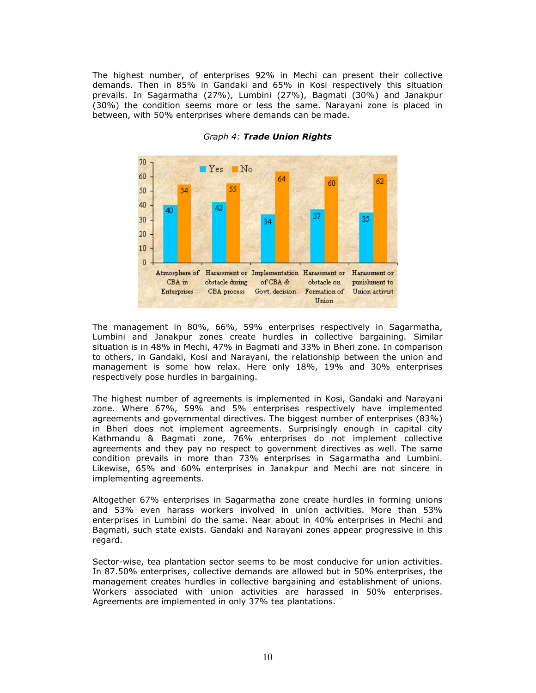The highest number, of enterprises 92% in Mechi can present their collective demands. Then in 85% in Gandaki and 65% in Kosi respectively this situation prevails. In Sagarmatha (27%), Lumbini (27%), Bagmati (30%) and Janakpur (30%) the condition seems more or less the same. Narayani zone is placed in between, with 50% enterprises where demands can be made.



#### Graph 4: Trade Union Rights

The management in 80%, 66%, 59% enterprises respectively in Sagarmatha, Lumbini and Janakpur zones create hurdles in collective bargaining. Similar situation is in 48% in Mechi, 47% in Bagmati and 33% in Bheri zone. In comparison to others, in Gandaki, Kosi and Narayani, the relationship between the union and management is some how relax. Here only 18%, 19% and 30% enterprises respectively pose hurdles in bargaining.

The highest number of agreements is implemented in Kosi, Gandaki and Narayani zone. Where 67%, 59% and 5% enterprises respectively have implemented agreements and governmental directives. The biggest number of enterprises (83%) in Bheri does not implement agreements. Surprisingly enough in capital city Kathmandu & Bagmati zone, 76% enterprises do not implement collective agreements and they pay no respect to government directives as well. The same condition prevails in more than 73% enterprises in Sagarmatha and Lumbini. Likewise, 65% and 60% enterprises in Janakpur and Mechi are not sincere in implementing agreements.

Altogether 67% enterprises in Sagarmatha zone create hurdles in forming unions and 53% even harass workers involved in union activities. More than 53% enterprises in Lumbini do the same. Near about in 40% enterprises in Mechi and Bagmati, such state exists. Gandaki and Narayani zones appear progressive in this regard.

Sector-wise, tea plantation sector seems to be most conducive for union activities. In 87.50% enterprises, collective demands are allowed but in 50% enterprises, the management creates hurdles in collective bargaining and establishment of unions. Workers associated with union activities are harassed in 50% enterprises. Agreements are implemented in only 37% tea plantations.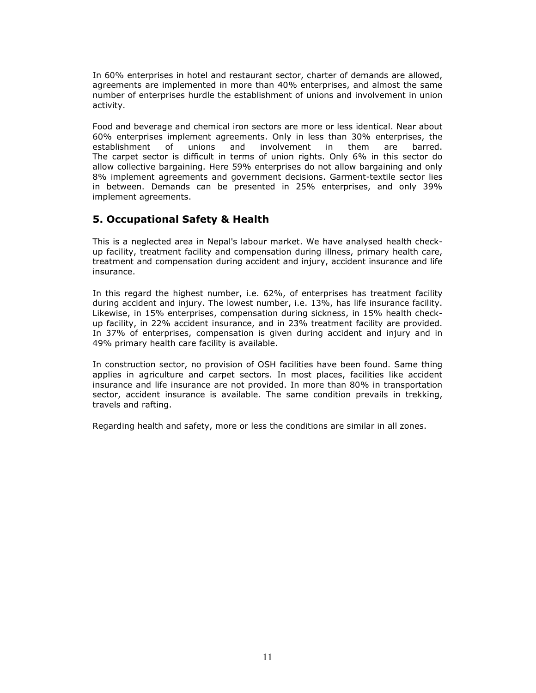In 60% enterprises in hotel and restaurant sector, charter of demands are allowed, agreements are implemented in more than 40% enterprises, and almost the same number of enterprises hurdle the establishment of unions and involvement in union activity.

Food and beverage and chemical iron sectors are more or less identical. Near about 60% enterprises implement agreements. Only in less than 30% enterprises, the establishment of unions and involvement in them are barred. The carpet sector is difficult in terms of union rights. Only 6% in this sector do allow collective bargaining. Here 59% enterprises do not allow bargaining and only 8% implement agreements and government decisions. Garment-textile sector lies in between. Demands can be presented in 25% enterprises, and only 39% implement agreements.

### 5. Occupational Safety & Health

This is a neglected area in Nepal's labour market. We have analysed health checkup facility, treatment facility and compensation during illness, primary health care, treatment and compensation during accident and injury, accident insurance and life insurance.

In this regard the highest number, i.e. 62%, of enterprises has treatment facility during accident and injury. The lowest number, i.e. 13%, has life insurance facility. Likewise, in 15% enterprises, compensation during sickness, in 15% health checkup facility, in 22% accident insurance, and in 23% treatment facility are provided. In 37% of enterprises, compensation is given during accident and injury and in 49% primary health care facility is available.

In construction sector, no provision of OSH facilities have been found. Same thing applies in agriculture and carpet sectors. In most places, facilities like accident insurance and life insurance are not provided. In more than 80% in transportation sector, accident insurance is available. The same condition prevails in trekking, travels and rafting.

Regarding health and safety, more or less the conditions are similar in all zones.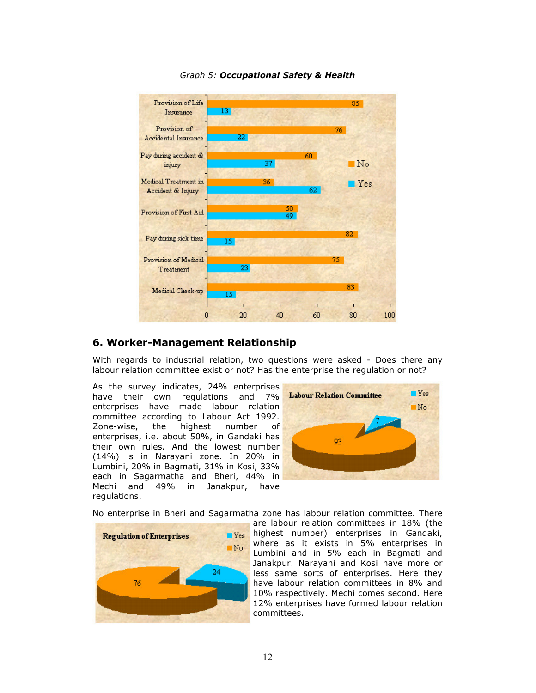

#### Graph 5: Occupational Safety & Health

### 6. Worker-Management Relationship

With regards to industrial relation, two questions were asked - Does there any labour relation committee exist or not? Has the enterprise the regulation or not?

As the survey indicates, 24% enterprises have their own regulations and 7% enterprises have made labour relation committee according to Labour Act 1992. Zone-wise, the highest number of enterprises, i.e. about 50%, in Gandaki has their own rules. And the lowest number (14%) is in Narayani zone. In 20% in Lumbini, 20% in Bagmati, 31% in Kosi, 33% each in Sagarmatha and Bheri, 44% in Mechi and 49% in Janakpur, have regulations.



No enterprise in Bheri and Sagarmatha zone has labour relation committee. There



are labour relation committees in 18% (the **Figure** highest number) enterprises in Gandaki, where as it exists in 5% enterprises in Lumbini and in 5% each in Bagmati and Janakpur. Narayani and Kosi have more or less same sorts of enterprises. Here they have labour relation committees in 8% and 10% respectively. Mechi comes second. Here 12% enterprises have formed labour relation committees.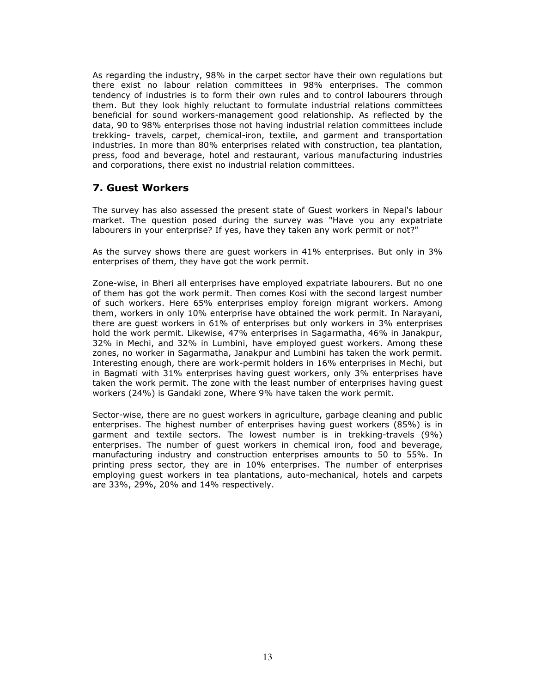As regarding the industry, 98% in the carpet sector have their own regulations but there exist no labour relation committees in 98% enterprises. The common tendency of industries is to form their own rules and to control labourers through them. But they look highly reluctant to formulate industrial relations committees beneficial for sound workers-management good relationship. As reflected by the data, 90 to 98% enterprises those not having industrial relation committees include trekking- travels, carpet, chemical-iron, textile, and garment and transportation industries. In more than 80% enterprises related with construction, tea plantation, press, food and beverage, hotel and restaurant, various manufacturing industries and corporations, there exist no industrial relation committees.

### 7. Guest Workers

The survey has also assessed the present state of Guest workers in Nepal's labour market. The question posed during the survey was "Have you any expatriate labourers in your enterprise? If yes, have they taken any work permit or not?"

As the survey shows there are guest workers in 41% enterprises. But only in 3% enterprises of them, they have got the work permit.

Zone-wise, in Bheri all enterprises have employed expatriate labourers. But no one of them has got the work permit. Then comes Kosi with the second largest number of such workers. Here 65% enterprises employ foreign migrant workers. Among them, workers in only 10% enterprise have obtained the work permit. In Narayani, there are guest workers in 61% of enterprises but only workers in 3% enterprises hold the work permit. Likewise, 47% enterprises in Sagarmatha, 46% in Janakpur, 32% in Mechi, and 32% in Lumbini, have employed guest workers. Among these zones, no worker in Sagarmatha, Janakpur and Lumbini has taken the work permit. Interesting enough, there are work-permit holders in 16% enterprises in Mechi, but in Bagmati with 31% enterprises having guest workers, only 3% enterprises have taken the work permit. The zone with the least number of enterprises having guest workers (24%) is Gandaki zone, Where 9% have taken the work permit.

Sector-wise, there are no guest workers in agriculture, garbage cleaning and public enterprises. The highest number of enterprises having guest workers (85%) is in garment and textile sectors. The lowest number is in trekking-travels (9%) enterprises. The number of guest workers in chemical iron, food and beverage, manufacturing industry and construction enterprises amounts to 50 to 55%. In printing press sector, they are in 10% enterprises. The number of enterprises employing guest workers in tea plantations, auto-mechanical, hotels and carpets are 33%, 29%, 20% and 14% respectively.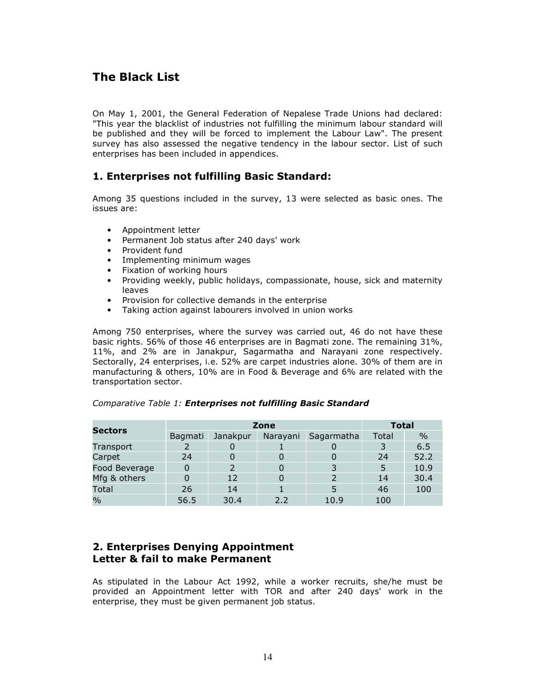# The Black List

On May 1, 2001, the General Federation of Nepalese Trade Unions had declared: "This year the blacklist of industries not fulfilling the minimum labour standard will be published and they will be forced to implement the Labour Law". The present survey has also assessed the negative tendency in the labour sector. List of such enterprises has been included in appendices.

### 1. Enterprises not fulfilling Basic Standard:

Among 35 questions included in the survey, 13 were selected as basic ones. The issues are:

- Appointment letter
- Permanent Job status after 240 days' work
- Provident fund
- Implementing minimum wages
- Fixation of working hours
- Providing weekly, public holidays, compassionate, house, sick and maternity leaves
- Provision for collective demands in the enterprise
- Taking action against labourers involved in union works

Among 750 enterprises, where the survey was carried out, 46 do not have these basic rights. 56% of those 46 enterprises are in Bagmati zone. The remaining 31%, 11%, and 2% are in Janakpur, Sagarmatha and Narayani zone respectively. Sectorally, 24 enterprises, i.e. 52% are carpet industries alone. 30% of them are in manufacturing & others, 10% are in Food & Beverage and 6% are related with the transportation sector.

| Sectors       |         | Zone     |          | <b>Total</b> |       |      |
|---------------|---------|----------|----------|--------------|-------|------|
|               | Bagmati | Janakpur | Narayani | Sagarmatha   | Total | $\%$ |
| Transport     |         |          |          |              |       | 6.5  |
| Carpet        | 24      |          | O        |              | 24    | 52.2 |
| Food Beverage | 0       |          | 0        |              |       | 10.9 |
| Mfg & others  | 0       | 12       | 0        |              | 14    | 30.4 |
| Total         | 26      | 14       |          |              | 46    | 100  |
| $\frac{0}{0}$ | 56.5    | 30.4     | 2.2      | 10.9         | 100   |      |

#### Comparative Table 1: Enterprises not fulfilling Basic Standard

### 2. Enterprises Denying Appointment Letter & fail to make Permanent

As stipulated in the Labour Act 1992, while a worker recruits, she/he must be provided an Appointment letter with TOR and after 240 days' work in the enterprise, they must be given permanent job status.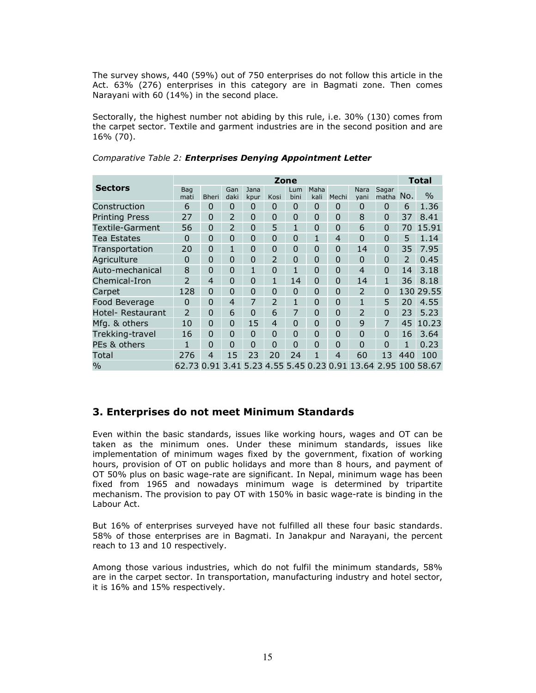The survey shows, 440 (59%) out of 750 enterprises do not follow this article in the Act. 63% (276) enterprises in this category are in Bagmati zone. Then comes Narayani with 60 (14%) in the second place.

Sectorally, the highest number not abiding by this rule, i.e. 30% (130) comes from the carpet sector. Textile and garment industries are in the second position and are 16% (70).

|                       |               |                |                          |                |                | Zone        |                |                |                                                |                    | <b>Total</b>  |               |
|-----------------------|---------------|----------------|--------------------------|----------------|----------------|-------------|----------------|----------------|------------------------------------------------|--------------------|---------------|---------------|
| <b>Sectors</b>        | Bag<br>mati   | <b>Bheri</b>   | Gan<br>daki              | Jana<br>kpur   | Kosi           | Lum<br>bini | Maha<br>kali   | Mechi          | Nara<br>yani                                   | Sagar<br>matha No. |               | $\frac{0}{0}$ |
| Construction          | 6             | 0              | $\mathbf{0}$             | 0              | $\Omega$       | 0           | $\overline{0}$ | 0              | $\Omega$                                       | $\Omega$           | 6             | 1.36          |
| <b>Printing Press</b> | 27            | 0              | 2                        | 0              | $\Omega$       | 0           | $\overline{0}$ | 0              | 8                                              | $\Omega$           | 37            | 8.41          |
| Textile-Garment       | 56            | $\Omega$       | $\overline{\phantom{0}}$ | $\overline{0}$ | 5              | 1           | $\Omega$       | $\Omega$       | 6                                              | $\Omega$           | 70            | 15.91         |
| Tea Estates           | 0             | $\Omega$       | $\Omega$                 | $\overline{0}$ | $\Omega$       | 0           | 1              | 4              | $\Omega$                                       | $\Omega$           | 5             | 1.14          |
| Transportation        | 20            | $\Omega$       | 1                        | $\overline{0}$ | $\Omega$       | 0           | $\Omega$       | $\overline{0}$ | 14                                             | $\Omega$           | 35            | 7.95          |
| Agriculture           | 0             | $\Omega$       | $\Omega$                 | 0              | $\mathcal{P}$  | 0           | $\Omega$       | $\overline{0}$ | $\Omega$                                       | $\Omega$           | $\mathcal{P}$ | 0.45          |
| Auto-mechanical       | 8             | $\Omega$       | $\Omega$                 | 1              | $\Omega$       | 1           | $\Omega$       | 0              | $\overline{4}$                                 | $\Omega$           | 14            | 3.18          |
| Chemical-Iron         | $\mathcal{P}$ | $\overline{4}$ | $\Omega$                 | $\overline{0}$ | 1              | 14          | $\Omega$       | $\overline{0}$ | 14                                             | 1                  | 36            | 8.18          |
| Carpet                | 128           | $\Omega$       | $\Omega$                 | 0              | $\Omega$       | 0           | $\Omega$       | $\overline{0}$ | $\overline{2}$                                 | $\Omega$           | 130           | 29.55         |
| Food Beverage         | 0             | $\overline{0}$ | $\overline{4}$           | 7              | $\overline{2}$ | 1           | $\Omega$       | $\overline{0}$ | 1                                              | 5                  | 20            | 4.55          |
| Hotel- Restaurant     | 2             | 0              | 6                        | $\overline{0}$ | 6              | 7           | $\Omega$       | 0              | $\overline{2}$                                 | $\Omega$           | 23            | 5.23          |
| Mfg. & others         | 10            | $\Omega$       | $\Omega$                 | 15             | 4              | 0           | $\Omega$       | 0              | 9                                              | 7                  | 45            | 10.23         |
| Trekking-travel       | 16            | $\Omega$       | $\Omega$                 | $\overline{0}$ | $\Omega$       | $\Omega$    | $\Omega$       | $\overline{0}$ | $\Omega$                                       | $\Omega$           | 16            | 3.64          |
| PEs & others          | 1             | $\Omega$       | $\Omega$                 | $\overline{0}$ | $\overline{0}$ | $\Omega$    | $\Omega$       | $\overline{0}$ | $\Omega$                                       | $\Omega$           | 1             | 0.23          |
| Total                 | 276           | 4              | 15                       | 23             | 20             | 24          | 1              | 4              | 60                                             | 13                 | 440           | 100           |
| $\%$                  |               |                |                          |                |                |             |                |                | 62.73 0.91 3.41 5.23 4.55 5.45 0.23 0.91 13.64 | 2.95 100           |               | 58.67         |

#### Comparative Table 2: Enterprises Denying Appointment Letter

### 3. Enterprises do not meet Minimum Standards

Even within the basic standards, issues like working hours, wages and OT can be taken as the minimum ones. Under these minimum standards, issues like implementation of minimum wages fixed by the government, fixation of working hours, provision of OT on public holidays and more than 8 hours, and payment of OT 50% plus on basic wage-rate are significant. In Nepal, minimum wage has been fixed from 1965 and nowadays minimum wage is determined by tripartite mechanism. The provision to pay OT with 150% in basic wage-rate is binding in the Labour Act.

But 16% of enterprises surveyed have not fulfilled all these four basic standards. 58% of those enterprises are in Bagmati. In Janakpur and Narayani, the percent reach to 13 and 10 respectively.

Among those various industries, which do not fulfil the minimum standards, 58% are in the carpet sector. In transportation, manufacturing industry and hotel sector, it is 16% and 15% respectively.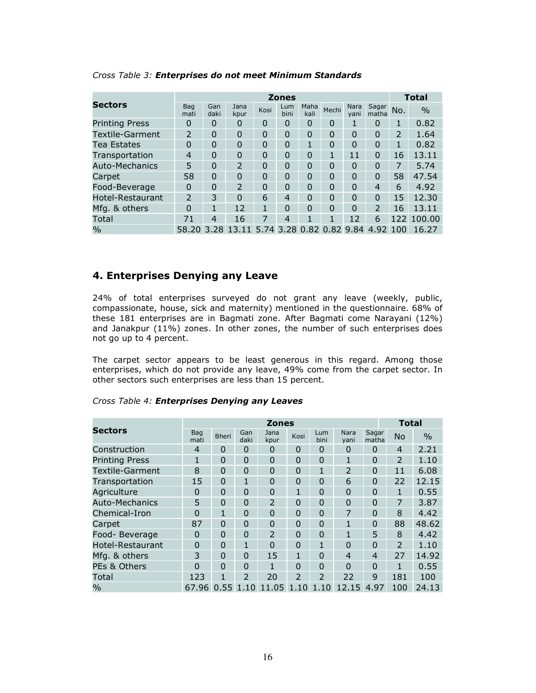|                        |                |                |                                                |          | <b>Zones</b>   |              |          |              |                          | <b>Total</b> |               |  |
|------------------------|----------------|----------------|------------------------------------------------|----------|----------------|--------------|----------|--------------|--------------------------|--------------|---------------|--|
| <b>Sectors</b>         | Bag<br>mati    | Gan<br>daki    | Jana<br>kpur                                   | Kosi     | Lum<br>bini    | Maha<br>kali | Mechi    | Nara<br>vani | Sagar<br>matha           | No.          | $\frac{0}{0}$ |  |
| <b>Printing Press</b>  | 0              | 0              | 0                                              | 0        | $\overline{0}$ | 0            | 0        |              | 0                        | 1            | 0.82          |  |
| <b>Textile-Garment</b> | 2              | 0              | $\Omega$                                       | 0        | $\overline{0}$ | $\Omega$     | $\Omega$ | 0            | 0                        | 2            | 1.64          |  |
| Tea Estates            | $\overline{0}$ | 0              | $\Omega$                                       | 0        | $\overline{0}$ | 1            | $\Omega$ | $\Omega$     | 0                        | 1            | 0.82          |  |
| Transportation         | 4              | 0              | $\mathbf{0}$                                   | $\Omega$ | $\overline{0}$ | $\Omega$     | 1        | 11           | $\Omega$                 | 16           | 13.11         |  |
| Auto-Mechanics         | 5              | 0              | $\overline{2}$                                 | $\Omega$ | $\Omega$       | $\Omega$     | $\Omega$ | $\Omega$     | 0                        | 7            | 5.74          |  |
| Carpet                 | 58             | $\Omega$       | $\Omega$                                       | $\Omega$ | $\Omega$       | $\Omega$     | $\Omega$ | 0            | $\Omega$                 | 58           | 47.54         |  |
| Food-Beverage          | $\Omega$       | $\Omega$       | $\overline{2}$                                 | $\Omega$ | $\Omega$       | $\Omega$     | $\Omega$ | $\Omega$     | 4                        | 6            | 4.92          |  |
| Hotel-Restaurant       | $\overline{2}$ | 3              | $\Omega$                                       | 6        | 4              | $\Omega$     | $\Omega$ | $\Omega$     | $\Omega$                 | 15           | 12.30         |  |
| Mfg. & others          | $\Omega$       | 1              | 12                                             | 1        | $\Omega$       | $\Omega$     | $\Omega$ | $\Omega$     | $\overline{\phantom{a}}$ | 16           | 13.11         |  |
| Total                  | 71             | $\overline{4}$ | 16                                             | 7        | $\overline{4}$ | 1            | 1        | 12           | 6                        | 122          | 100.00        |  |
| $\%$                   |                |                | 58.20 3.28 13.11 5.74 3.28 0.82 0.82 9.84 4.92 |          |                |              |          |              |                          | 100          | 16.27         |  |

Cross Table 3: Enterprises do not meet Minimum Standards

### 4. Enterprises Denying any Leave

24% of total enterprises surveyed do not grant any leave (weekly, public, compassionate, house, sick and maternity) mentioned in the questionnaire. 68% of these 181 enterprises are in Bagmati zone. After Bagmati come Narayani (12%) and Janakpur (11%) zones. In other zones, the number of such enterprises does not go up to 4 percent.

The carpet sector appears to be least generous in this regard. Among those enterprises, which do not provide any leave, 49% come from the carpet sector. In other sectors such enterprises are less than 15 percent.

|                        |                |                |               | <b>Zones</b>   |                          |                |               |                | <b>Total</b>   |               |  |  |
|------------------------|----------------|----------------|---------------|----------------|--------------------------|----------------|---------------|----------------|----------------|---------------|--|--|
| <b>Sectors</b>         | Bag<br>mati    | <b>Bheri</b>   | Gan<br>daki   | Jana<br>kpur   | Kosi                     | Lum<br>bini    | Nara<br>yani  | Sagar<br>matha | <b>No</b>      | $\frac{0}{0}$ |  |  |
| Construction           | 4              | 0              | 0             | 0              | $\Omega$                 | 0              | 0             | $\Omega$       | $\overline{4}$ | 2.21          |  |  |
| <b>Printing Press</b>  | 1              | $\Omega$       | $\Omega$      | $\overline{0}$ | 0                        | $\mathbf 0$    | 1             | $\Omega$       | $\overline{2}$ | 1.10          |  |  |
| <b>Textile-Garment</b> | 8              | $\Omega$       | $\Omega$      | $\overline{0}$ | $\overline{0}$           | 1              | $\mathcal{P}$ | $\Omega$       | 11             | 6.08          |  |  |
| Transportation         | 15             | $\Omega$       | 1             | $\Omega$       | $\Omega$                 | 0              | 6             | $\Omega$       | 22             | 12.15         |  |  |
| Agriculture            | $\mathbf 0$    | $\Omega$       | $\Omega$      | $\mathbf 0$    | 1                        | 0              | $\Omega$      | $\overline{0}$ | 1              | 0.55          |  |  |
| Auto-Mechanics         | 5              | $\Omega$       | $\Omega$      | $\overline{2}$ | 0                        | $\Omega$       | $\Omega$      | $\Omega$       | 7              | 3.87          |  |  |
| Chemical-Iron          | $\mathbf 0$    | 1              | $\Omega$      | $\overline{0}$ | $\Omega$                 | $\Omega$       | 7             | $\Omega$       | 8              | 4.42          |  |  |
| Carpet                 | 87             | $\Omega$       | $\Omega$      | $\overline{0}$ | 0                        | $\mathbf 0$    | 1             | $\Omega$       | 88             | 48.62         |  |  |
| Food-Beverage          | 0              | 0              | $\Omega$      | $\overline{2}$ | 0                        | 0              | 1             | 5              | 8              | 4.42          |  |  |
| Hotel-Restaurant       | $\overline{0}$ | $\Omega$       | 1             | $\Omega$       | $\overline{0}$           | 1              | $\Omega$      | $\Omega$       | $\mathcal{P}$  | 1.10          |  |  |
| Mfg. & others          | 3              | $\Omega$       | $\Omega$      | 15             | 1                        | $\Omega$       | 4             | $\overline{4}$ | 27             | 14.92         |  |  |
| PEs & Others           | $\overline{0}$ | $\overline{0}$ | $\Omega$      | 1              | $\overline{0}$           | $\Omega$       | $\Omega$      | $\overline{0}$ | 1              | 0.55          |  |  |
| Total                  | 123            | 1              | $\mathcal{P}$ | 20             | $\overline{\phantom{a}}$ | $\overline{2}$ | 22            | 9              | 181            | 100           |  |  |
| $\%$                   | 67.96          | 0.55           | 1.10          | 11.05          | 1.10                     | 1.10           | 12.15         | 4.97           | 100            | 24.13         |  |  |

#### Cross Table 4: Enterprises Denying any Leaves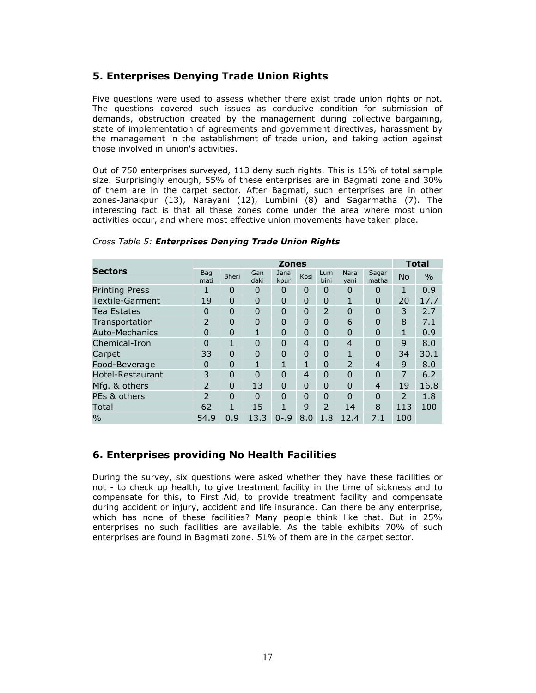### 5. Enterprises Denying Trade Union Rights

Five questions were used to assess whether there exist trade union rights or not. The questions covered such issues as conducive condition for submission of demands, obstruction created by the management during collective bargaining, state of implementation of agreements and government directives, harassment by the management in the establishment of trade union, and taking action against those involved in union's activities.

Out of 750 enterprises surveyed, 113 deny such rights. This is 15% of total sample size. Surprisingly enough, 55% of these enterprises are in Bagmati zone and 30% of them are in the carpet sector. After Bagmati, such enterprises are in other zones-Janakpur (13), Narayani (12), Lumbini (8) and Sagarmatha (7). The interesting fact is that all these zones come under the area where most union activities occur, and where most effective union movements have taken place.

|                         |                    | <b>Total</b> |                |              |                |                |                |                |                |               |
|-------------------------|--------------------|--------------|----------------|--------------|----------------|----------------|----------------|----------------|----------------|---------------|
| <b>Sectors</b>          | <b>Bag</b><br>mati | <b>Bheri</b> | Gan<br>daki    | Jana<br>kpur | Kosi           | Lum<br>bini    | Nara<br>yani   | Sagar<br>matha | <b>No</b>      | $\frac{0}{0}$ |
| <b>Printing Press</b>   | 1                  | $\Omega$     | $\mathbf 0$    | 0            | $\mathbf 0$    | $\overline{0}$ | $\overline{0}$ | $\Omega$       | 1              | 0.9           |
| Textile-Garment         | 19                 | $\Omega$     | $\Omega$       | $\Omega$     | $\mathbf 0$    | 0              | 1              | 0              | 20             | 17.7          |
| Tea Estates             | $\overline{0}$     | $\Omega$     | $\Omega$       | $\Omega$     | $\overline{0}$ | $\mathcal{P}$  | $\overline{0}$ | $\Omega$       | 3              | 2.7           |
| Transportation          | $\overline{2}$     | $\Omega$     | $\Omega$       | $\Omega$     | $\Omega$       | 0              | 6              | $\Omega$       | 8              | 7.1           |
| Auto-Mechanics          | 0                  | 0            | 1              | 0            | $\mathbf 0$    | 0              | 0              | 0              | 1              | 0.9           |
| Chemical-Iron           | $\overline{0}$     | 1            | $\Omega$       | $\Omega$     | $\overline{4}$ | 0              | $\overline{4}$ | $\Omega$       | 9              | 8.0           |
| Carpet                  | 33                 | $\Omega$     | $\overline{0}$ | $\Omega$     | $\Omega$       | $\overline{0}$ | 1              | 0              | 34             | 30.1          |
| Food-Beverage           | 0                  | $\Omega$     | 1              | 1            | $\mathbf{1}$   | $\Omega$       | $\mathcal{P}$  | $\overline{4}$ | 9              | 8.0           |
| <b>Hotel-Restaurant</b> | 3                  | $\Omega$     | $\Omega$       | $\Omega$     | $\overline{4}$ | 0              | $\Omega$       | $\Omega$       | 7              | 6.2           |
| Mfg. & others           | $\overline{2}$     | $\Omega$     | 13             | $\Omega$     | $\Omega$       | $\overline{0}$ | $\Omega$       | $\overline{4}$ | 19             | 16.8          |
| PEs & others            | $\overline{2}$     | $\Omega$     | $\Omega$       | $\Omega$     | $\Omega$       | $\overline{0}$ | $\Omega$       | $\Omega$       | $\overline{2}$ | 1.8           |
| Total                   | 62                 | 1            | 15             | 1            | 9              | $\overline{2}$ | 14             | 8              | 113            | 100           |
| $\%$                    | 54.9               | 0.9          | 13.3           | $0 - 0.9$    | 8.0            | 1.8            | 12.4           | 7.1            | 100            |               |

Cross Table 5: Enterprises Denying Trade Union Rights

### 6. Enterprises providing No Health Facilities

During the survey, six questions were asked whether they have these facilities or not - to check up health, to give treatment facility in the time of sickness and to compensate for this, to First Aid, to provide treatment facility and compensate during accident or injury, accident and life insurance. Can there be any enterprise, which has none of these facilities? Many people think like that. But in 25% enterprises no such facilities are available. As the table exhibits 70% of such enterprises are found in Bagmati zone. 51% of them are in the carpet sector.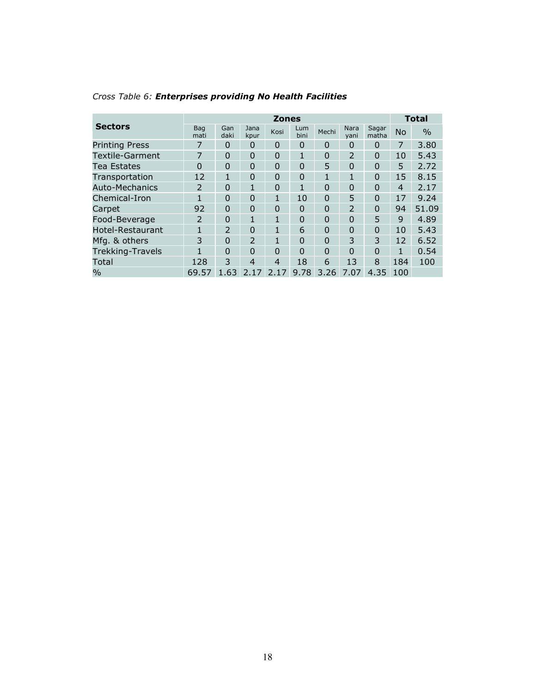|                         |               |             |                          | <b>Zones</b>   |             |          |                |                | <b>Total</b>   |               |
|-------------------------|---------------|-------------|--------------------------|----------------|-------------|----------|----------------|----------------|----------------|---------------|
| <b>Sectors</b>          | Bag<br>mati   | Gan<br>daki | Jana<br>kpur             | Kosi           | Lum<br>bini | Mechi    | Nara<br>yani   | Sagar<br>matha | <b>No</b>      | $\frac{0}{0}$ |
| <b>Printing Press</b>   |               | $\Omega$    | 0                        | $\Omega$       | $\Omega$    | $\Omega$ | $\Omega$       | $\Omega$       | 7              | 3.80          |
| Textile-Garment         |               | $\Omega$    | 0                        | 0              | 1           | 0        | $\overline{2}$ | $\Omega$       | 10             | 5.43          |
| Tea Estates             | $\Omega$      | $\Omega$    | 0                        | $\Omega$       | $\Omega$    | 5        | $\Omega$       | $\Omega$       | 5              | 2.72          |
| Transportation          | 12            | 1           | 0                        | $\Omega$       | $\Omega$    | 1        | 1              | $\Omega$       | 15             | 8.15          |
| Auto-Mechanics          | 2             | $\Omega$    | 1                        | $\Omega$       | 1           | 0        | $\Omega$       | $\Omega$       | $\overline{4}$ | 2.17          |
| Chemical-Iron           | 1             | $\Omega$    | 0                        | 1              | 10          | 0        | 5              | $\Omega$       | 17             | 9.24          |
| Carpet                  | 92            | $\Omega$    | 0                        | $\Omega$       | $\Omega$    | 0        | $\overline{2}$ | $\Omega$       | 94             | 51.09         |
| Food-Beverage           | $\mathcal{P}$ | $\Omega$    | 1                        | 1              | $\Omega$    | $\Omega$ | $\Omega$       | 5              | 9              | 4.89          |
| Hotel-Restaurant        | 1             | 2           | $\Omega$                 | 1              | 6           | 0        | $\Omega$       | $\Omega$       | 10             | 5.43          |
| Mfg. & others           | 3             | 0           | $\overline{\phantom{0}}$ | $\mathbf{1}$   | $\Omega$    | 0        | 3              | 3              | 12             | 6.52          |
| <b>Trekking-Travels</b> | 1             | $\Omega$    | $\Omega$                 | $\Omega$       | $\Omega$    | $\Omega$ | $\Omega$       | $\Omega$       | 1              | 0.54          |
| Total                   | 128           | 3           | 4                        | $\overline{4}$ | 18          | 6        | 13             | 8              | 184            | 100           |
| $\frac{0}{0}$           | 69.57         | 1.63        | 2.17                     | 2.17           | 9.78        | 3.26     | 7.07           | 4.35           | 100            |               |

### Cross Table 6: Enterprises providing No Health Facilities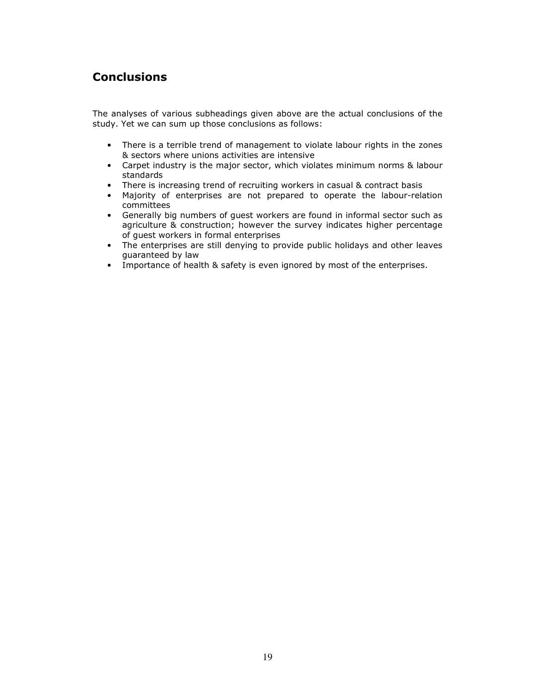# **Conclusions**

The analyses of various subheadings given above are the actual conclusions of the study. Yet we can sum up those conclusions as follows:

- There is a terrible trend of management to violate labour rights in the zones & sectors where unions activities are intensive
- Carpet industry is the major sector, which violates minimum norms & labour standards
- There is increasing trend of recruiting workers in casual & contract basis
- Majority of enterprises are not prepared to operate the labour-relation committees
- Generally big numbers of guest workers are found in informal sector such as agriculture & construction; however the survey indicates higher percentage of guest workers in formal enterprises
- The enterprises are still denying to provide public holidays and other leaves guaranteed by law
- Importance of health & safety is even ignored by most of the enterprises.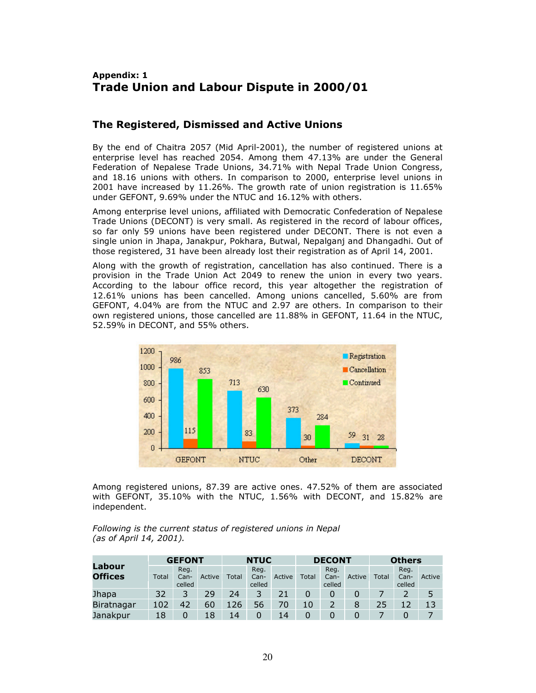### Appendix: 1 Trade Union and Labour Dispute in 2000/01

### The Registered, Dismissed and Active Unions

By the end of Chaitra 2057 (Mid April-2001), the number of registered unions at enterprise level has reached 2054. Among them 47.13% are under the General Federation of Nepalese Trade Unions, 34.71% with Nepal Trade Union Congress, and 18.16 unions with others. In comparison to 2000, enterprise level unions in 2001 have increased by 11.26%. The growth rate of union registration is 11.65% under GEFONT, 9.69% under the NTUC and 16.12% with others.

Among enterprise level unions, affiliated with Democratic Confederation of Nepalese Trade Unions (DECONT) is very small. As registered in the record of labour offices, so far only 59 unions have been registered under DECONT. There is not even a single union in Jhapa, Janakpur, Pokhara, Butwal, Nepalganj and Dhangadhi. Out of those registered, 31 have been already lost their registration as of April 14, 2001.

Along with the growth of registration, cancellation has also continued. There is a provision in the Trade Union Act 2049 to renew the union in every two years. According to the labour office record, this year altogether the registration of 12.61% unions has been cancelled. Among unions cancelled, 5.60% are from GEFONT, 4.04% are from the NTUC and 2.97 are others. In comparison to their own registered unions, those cancelled are 11.88% in GEFONT, 11.64 in the NTUC, 52.59% in DECONT, and 55% others.



Among registered unions, 87.39 are active ones. 47.52% of them are associated with GEFONT, 35.10% with the NTUC, 1.56% with DECONT, and 15.82% are independent.

Following is the current status of registered unions in Nepal (as of April 14, 2001).

|                          | <b>GEFONT</b> |                        |        | <b>NTUC</b> |                        |        | <b>DECONT</b> |                        |        | <b>Others</b> |                        |        |
|--------------------------|---------------|------------------------|--------|-------------|------------------------|--------|---------------|------------------------|--------|---------------|------------------------|--------|
| Labour<br><b>Offices</b> | Total         | Reg.<br>Can-<br>celled | Active | Total       | Reg.<br>Can-<br>celled | Active | Total         | Reg.<br>Can-<br>celled | Active | Total         | Reg.<br>Can-<br>celled | Active |
| <b>Jhapa</b>             | 32            |                        | 29     | 24          |                        | 21     |               |                        |        |               |                        |        |
| Biratnagar               | 102           | 42                     | 60     | 126         | 56                     |        | 10            |                        | 8      | 25            |                        | 13     |
| Janakpur                 | 18            |                        | 18     | 14          |                        | 14     | 0             |                        |        |               |                        |        |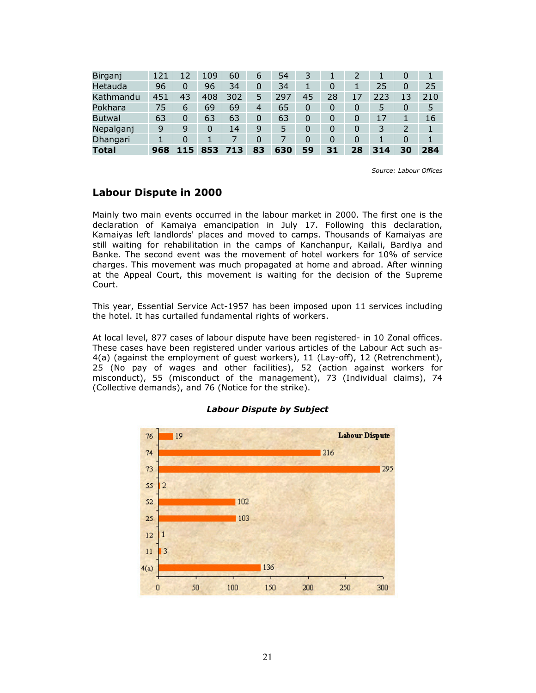| Birganj   | 121 | 12 | 109 | 60  | 6  | 54  | 3  |    |    |     | $\Omega$ |     |
|-----------|-----|----|-----|-----|----|-----|----|----|----|-----|----------|-----|
| Hetauda   | 96  | 0  | 96  | 34  | 0  | 34  |    |    |    | 25  |          | 25  |
| Kathmandu | 451 | 43 | 408 | 302 | 5  | 297 | 45 | 28 | 17 | 223 | 13       | 210 |
| Pokhara   | 75  | 6  | 69  | 69  | 4  | 65  | 0  | 0  | 0  | 5   |          | 5   |
| Butwal    | 63  | 0  | 63  | 63  | 0  | 63  | 0  |    | 0  | 17  |          | 16  |
| Nepalganj | 9   | 9  | 0   | 14  | 9  | 5   | 0  | O  | 0  | 3   |          |     |
| Dhangari  |     | 0  |     |     | 0  |     | 0  | O  | 0  |     |          |     |
| Total     | 968 |    | 853 | 713 | 83 | 630 | 59 | 31 | 28 | 314 | 30       | 284 |

Source: Labour Offices

#### Labour Dispute in 2000

Mainly two main events occurred in the labour market in 2000. The first one is the declaration of Kamaiya emancipation in July 17. Following this declaration, Kamaiyas left landlords' places and moved to camps. Thousands of Kamaiyas are still waiting for rehabilitation in the camps of Kanchanpur, Kailali, Bardiya and Banke. The second event was the movement of hotel workers for 10% of service charges. This movement was much propagated at home and abroad. After winning at the Appeal Court, this movement is waiting for the decision of the Supreme Court.

This year, Essential Service Act-1957 has been imposed upon 11 services including the hotel. It has curtailed fundamental rights of workers.

At local level, 877 cases of labour dispute have been registered- in 10 Zonal offices. These cases have been registered under various articles of the Labour Act such as-4(a) (against the employment of guest workers), 11 (Lay-off), 12 (Retrenchment), 25 (No pay of wages and other facilities), 52 (action against workers for misconduct), 55 (misconduct of the management), 73 (Individual claims), 74 (Collective demands), and 76 (Notice for the strike).



#### Labour Dispute by Subject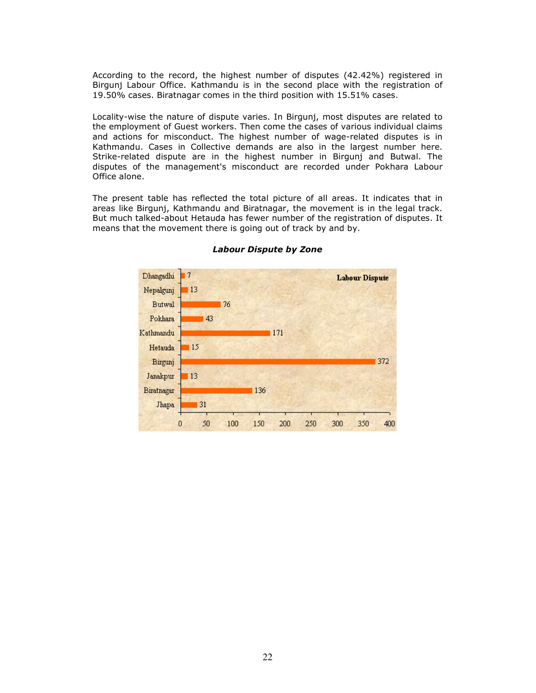According to the record, the highest number of disputes (42.42%) registered in Birgunj Labour Office. Kathmandu is in the second place with the registration of 19.50% cases. Biratnagar comes in the third position with 15.51% cases.

Locality-wise the nature of dispute varies. In Birgunj, most disputes are related to the employment of Guest workers. Then come the cases of various individual claims and actions for misconduct. The highest number of wage-related disputes is in Kathmandu. Cases in Collective demands are also in the largest number here. Strike-related dispute are in the highest number in Birgunj and Butwal. The disputes of the management's misconduct are recorded under Pokhara Labour Office alone.

The present table has reflected the total picture of all areas. It indicates that in areas like Birgunj, Kathmandu and Biratnagar, the movement is in the legal track. But much talked-about Hetauda has fewer number of the registration of disputes. It means that the movement there is going out of track by and by.



#### Labour Dispute by Zone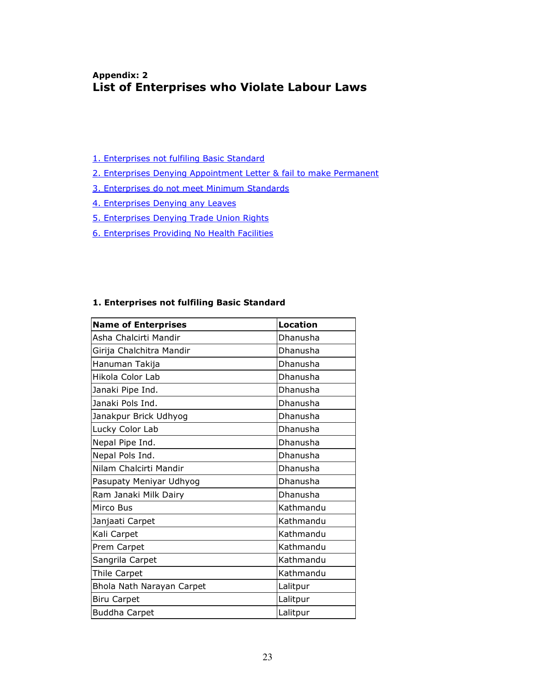## Appendix: 2 List of Enterprises who Violate Labour Laws

- 1. Enterprises not fulfiling Basic Standard
- 2. Enterprises Denying Appointment Letter & fail to make Permanent
- 3. Enterprises do not meet Minimum Standards
- 4. Enterprises Denying any Leaves
- 5. Enterprises Denying Trade Union Rights
- 6. Enterprises Providing No Health Facilities

#### 1. Enterprises not fulfiling Basic Standard

| <b>Name of Enterprises</b> | <b>Location</b> |
|----------------------------|-----------------|
| Asha Chalcirti Mandir      | Dhanusha        |
| Girija Chalchitra Mandir   | Dhanusha        |
| Hanuman Takija             | Dhanusha        |
| Hikola Color Lab           | Dhanusha        |
|                            |                 |
| Janaki Pipe Ind.           | Dhanusha        |
| Janaki Pols Ind.           | Dhanusha        |
| Janakpur Brick Udhyog      | Dhanusha        |
| Lucky Color Lab            | Dhanusha        |
| Nepal Pipe Ind.            | Dhanusha        |
| Nepal Pols Ind.            | Dhanusha        |
| Nilam Chalcirti Mandir     | Dhanusha        |
| Pasupaty Meniyar Udhyog    | Dhanusha        |
| Ram Janaki Milk Dairy      | Dhanusha        |
| Mirco Bus                  | Kathmandu       |
| Janjaati Carpet            | Kathmandu       |
| Kali Carpet                | Kathmandu       |
| Prem Carpet                | Kathmandu       |
| Sangrila Carpet            | Kathmandu       |
| Thile Carpet               | Kathmandu       |
| Bhola Nath Narayan Carpet  | Lalitpur        |
| <b>Biru Carpet</b>         | Lalitpur        |
| <b>Buddha Carpet</b>       | Lalitpur        |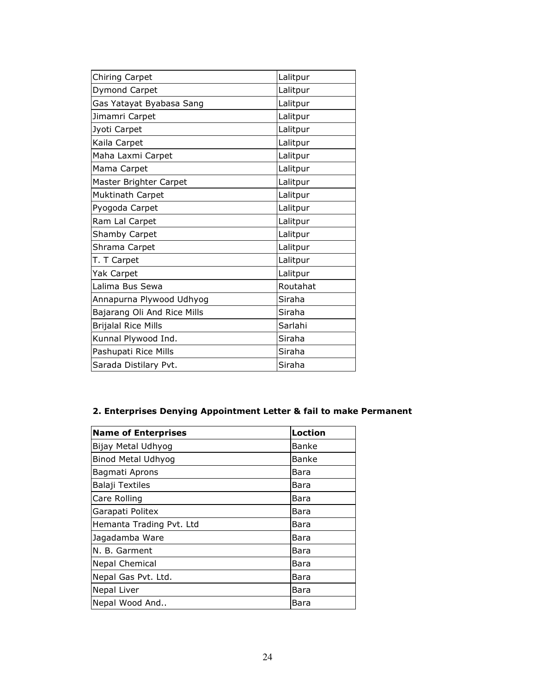| Chiring Carpet              | Lalitpur |
|-----------------------------|----------|
| Dymond Carpet               | Lalitpur |
| Gas Yatayat Byabasa Sang    | Lalitpur |
| Jimamri Carpet              | Lalitpur |
| Jyoti Carpet                | Lalitpur |
| Kaila Carpet                | Lalitpur |
| Maha Laxmi Carpet           | Lalitpur |
| Mama Carpet                 | Lalitpur |
| Master Brighter Carpet      | Lalitpur |
| Muktinath Carpet            | Lalitpur |
| Pyogoda Carpet              | Lalitpur |
| Ram Lal Carpet              | Lalitpur |
| Shamby Carpet               | Lalitpur |
| Shrama Carpet               | Lalitpur |
| T. T Carpet                 | Lalitpur |
| Yak Carpet                  | Lalitpur |
| Lalima Bus Sewa             | Routahat |
| Annapurna Plywood Udhyog    | Siraha   |
| Bajarang Oli And Rice Mills | Siraha   |
| <b>Brijalal Rice Mills</b>  | Sarlahi  |
| Kunnal Plywood Ind.         | Siraha   |
| Pashupati Rice Mills        | Siraha   |
| Sarada Distilary Pvt.       | Siraha   |

# 2. Enterprises Denying Appointment Letter & fail to make Permanent

| <b>Name of Enterprises</b> | Loction |
|----------------------------|---------|
| Bijay Metal Udhyog         | Banke   |
| Binod Metal Udhyog         | Banke   |
| Bagmati Aprons             | Bara    |
| Balaji Textiles            | Bara    |
| Care Rolling               | Bara    |
| Garapati Politex           | Bara    |
| Hemanta Trading Pvt. Ltd   | Bara    |
| Jagadamba Ware             | Bara    |
| N. B. Garment              | Bara    |
| Nepal Chemical             | Bara    |
| Nepal Gas Pvt. Ltd.        | Bara    |
| Nepal Liver                | Bara    |
| Nepal Wood And             | Bara    |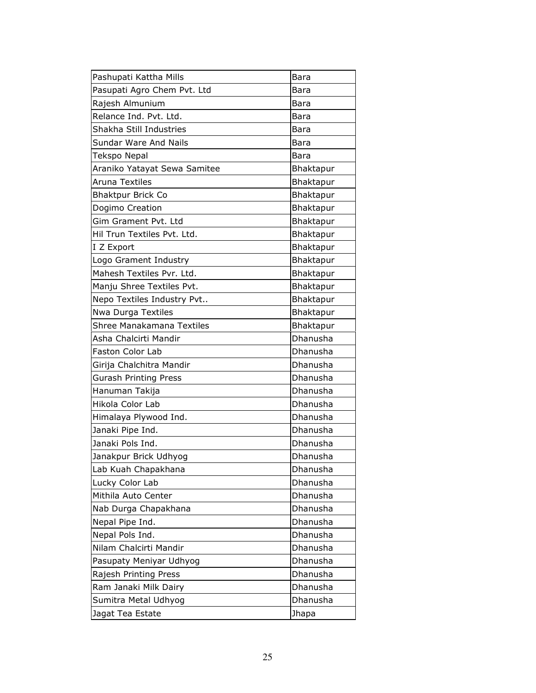| Pashupati Kattha Mills       | <b>Bara</b>      |
|------------------------------|------------------|
| Pasupati Agro Chem Pvt. Ltd  | Bara             |
| Rajesh Almunium              | Bara             |
| Relance Ind. Pvt. Ltd.       | Bara             |
| Shakha Still Industries      | <b>Bara</b>      |
| Sundar Ware And Nails        | <b>Bara</b>      |
| Tekspo Nepal                 | Bara             |
| Araniko Yatayat Sewa Samitee | Bhaktapur        |
| Aruna Textiles               | <b>Bhaktapur</b> |
| <b>Bhaktpur Brick Co</b>     | Bhaktapur        |
| Dogimo Creation              | <b>Bhaktapur</b> |
| Gim Grament Pvt. Ltd         | <b>Bhaktapur</b> |
| Hil Trun Textiles Pvt. Ltd.  | Bhaktapur        |
| I Z Export                   | Bhaktapur        |
| Logo Grament Industry        | Bhaktapur        |
| Mahesh Textiles Pvr. Ltd.    | Bhaktapur        |
| Manju Shree Textiles Pvt.    | <b>Bhaktapur</b> |
| Nepo Textiles Industry Pvt   | Bhaktapur        |
| Nwa Durga Textiles           | <b>Bhaktapur</b> |
| Shree Manakamana Textiles    | Bhaktapur        |
| Asha Chalcirti Mandir        | Dhanusha         |
| Faston Color Lab             | Dhanusha         |
| Girija Chalchitra Mandir     | Dhanusha         |
| <b>Gurash Printing Press</b> | Dhanusha         |
| Hanuman Takija               | Dhanusha         |
| Hikola Color Lab             | Dhanusha         |
| Himalaya Plywood Ind.        | Dhanusha         |
| Janaki Pipe Ind.             | Dhanusha         |
| Janaki Pols Ind.             | Dhanusha         |
| Janakpur Brick Udhyog        | Dhanusha         |
| Lab Kuah Chapakhana          | Dhanusha         |
| Lucky Color Lab              | Dhanusha         |
| Mithila Auto Center          | Dhanusha         |
| Nab Durga Chapakhana         | <b>Dhanusha</b>  |
| Nepal Pipe Ind.              | Dhanusha         |
| Nepal Pols Ind.              | Dhanusha         |
| Nilam Chalcirti Mandir       | Dhanusha         |
| Pasupaty Meniyar Udhyog      | Dhanusha         |
| Rajesh Printing Press        | Dhanusha         |
| Ram Janaki Milk Dairy        | Dhanusha         |
| Sumitra Metal Udhyog         | Dhanusha         |
| Jagat Tea Estate             | Jhapa            |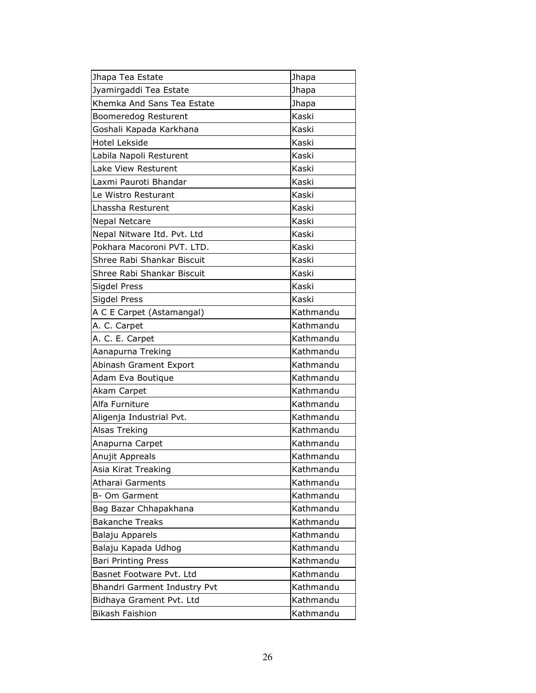| Jhapa Tea Estate             | Jhapa     |
|------------------------------|-----------|
| Jyamirgaddi Tea Estate       | Jhapa     |
| Khemka And Sans Tea Estate   | Jhapa     |
| Boomeredog Resturent         | Kaski     |
| Goshali Kapada Karkhana      | Kaski     |
| Hotel Lekside                | Kaski     |
| Labila Napoli Resturent      | Kaski     |
| Lake View Resturent          | Kaski     |
| Laxmi Pauroti Bhandar        | Kaski     |
| Le Wistro Resturant          | Kaski     |
| Lhassha Resturent            | Kaski     |
| Nepal Netcare                | Kaski     |
| Nepal Nitware Itd. Pvt. Ltd  | Kaski     |
| Pokhara Macoroni PVT, LTD.   | Kaski     |
| Shree Rabi Shankar Biscuit   | Kaski     |
| Shree Rabi Shankar Biscuit   | Kaski     |
| Sigdel Press                 | Kaski     |
| Sigdel Press                 | Kaski     |
| A C E Carpet (Astamangal)    | Kathmandu |
| A. C. Carpet                 | Kathmandu |
| A. C. E. Carpet              | Kathmandu |
| Aanapurna Treking            | Kathmandu |
| Abinash Grament Export       | Kathmandu |
| Adam Eva Boutique            | Kathmandu |
| Akam Carpet                  | Kathmandu |
| Alfa Furniture               | Kathmandu |
| Aligenja Industrial Pvt.     | Kathmandu |
| Alsas Treking                | Kathmandu |
| Anapurna Carpet              | Kathmandu |
| Anujit Appreals              | Kathmandu |
| Asia Kirat Treaking          | Kathmandu |
| Atharai Garments             | Kathmandu |
| B- Om Garment                | Kathmandu |
| Bag Bazar Chhapakhana        | Kathmandu |
| <b>Bakanche Treaks</b>       | Kathmandu |
| Balaju Apparels              | Kathmandu |
| Balaju Kapada Udhog          | Kathmandu |
| <b>Bari Printing Press</b>   | Kathmandu |
| Basnet Footware Pvt. Ltd     | Kathmandu |
| Bhandri Garment Industry Pvt | Kathmandu |
| Bidhaya Grament Pvt. Ltd     | Kathmandu |
| <b>Bikash Faishion</b>       | Kathmandu |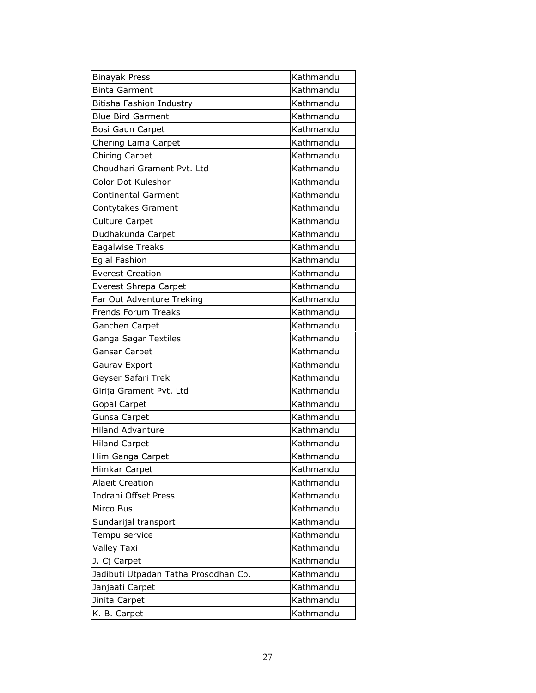| <b>Binayak Press</b>                 | Kathmandu |
|--------------------------------------|-----------|
| <b>Binta Garment</b>                 | Kathmandu |
| Bitisha Fashion Industry             | Kathmandu |
| <b>Blue Bird Garment</b>             | Kathmandu |
| Bosi Gaun Carpet                     | Kathmandu |
| Chering Lama Carpet                  | Kathmandu |
| Chiring Carpet                       | Kathmandu |
| Choudhari Grament Pvt. Ltd           | Kathmandu |
| Color Dot Kuleshor                   | Kathmandu |
| <b>Continental Garment</b>           | Kathmandu |
|                                      | Kathmandu |
| Contytakes Grament                   | Kathmandu |
| <b>Culture Carpet</b>                |           |
| Dudhakunda Carpet                    | Kathmandu |
| <b>Eagalwise Treaks</b>              | Kathmandu |
| Egial Fashion                        | Kathmandu |
| <b>Everest Creation</b>              | Kathmandu |
| Everest Shrepa Carpet                | Kathmandu |
| Far Out Adventure Treking            | Kathmandu |
| <b>Frends Forum Treaks</b>           | Kathmandu |
| Ganchen Carpet                       | Kathmandu |
| Ganga Sagar Textiles                 | Kathmandu |
| Gansar Carpet                        | Kathmandu |
| Gaurav Export                        | Kathmandu |
| Geyser Safari Trek                   | Kathmandu |
| Girija Grament Pvt. Ltd              | Kathmandu |
| <b>Gopal Carpet</b>                  | Kathmandu |
| Gunsa Carpet                         | Kathmandu |
| <b>Hiland Advanture</b>              | Kathmandu |
| <b>Hiland Carpet</b>                 | Kathmandu |
| Him Ganga Carpet                     | Kathmandu |
| Himkar Carpet                        | Kathmandu |
| <b>Alaeit Creation</b>               | Kathmandu |
| Indrani Offset Press                 | Kathmandu |
| Mirco Bus                            | Kathmandu |
| Sundarijal transport                 | Kathmandu |
| Tempu service                        | Kathmandu |
| Valley Taxi                          | Kathmandu |
| J. Cj Carpet                         | Kathmandu |
| Jadibuti Utpadan Tatha Prosodhan Co. | Kathmandu |
| Janjaati Carpet                      | Kathmandu |
| Jinita Carpet                        | Kathmandu |
| K. B. Carpet                         | Kathmandu |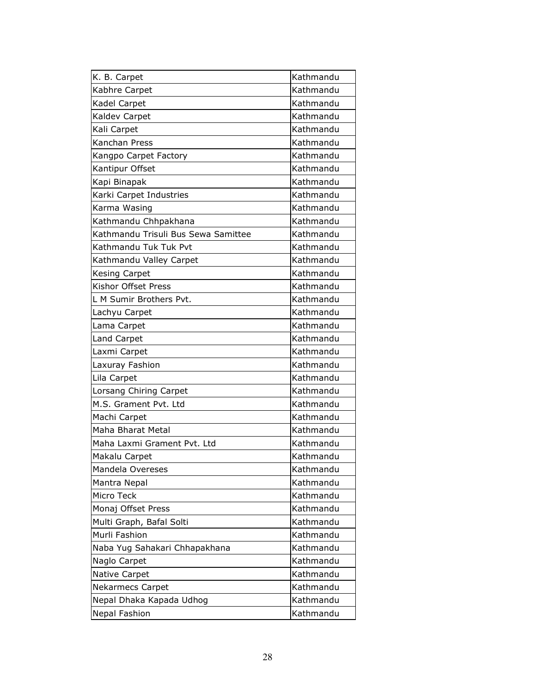| K. B. Carpet                        | Kathmandu |
|-------------------------------------|-----------|
| Kabhre Carpet                       | Kathmandu |
| Kadel Carpet                        | Kathmandu |
| Kaldev Carpet                       | Kathmandu |
| Kali Carpet                         | Kathmandu |
| Kanchan Press                       | Kathmandu |
| Kangpo Carpet Factory               | Kathmandu |
| Kantipur Offset                     | Kathmandu |
| Kapi Binapak                        | Kathmandu |
| Karki Carpet Industries             | Kathmandu |
| Karma Wasing                        | Kathmandu |
| Kathmandu Chhpakhana                | Kathmandu |
| Kathmandu Trisuli Bus Sewa Samittee | Kathmandu |
| Kathmandu Tuk Tuk Pvt               | Kathmandu |
| Kathmandu Valley Carpet             | Kathmandu |
| Kesing Carpet                       | Kathmandu |
| Kishor Offset Press                 | Kathmandu |
| L M Sumir Brothers Pvt.             | Kathmandu |
| Lachyu Carpet                       | Kathmandu |
| Lama Carpet                         | Kathmandu |
| Land Carpet                         | Kathmandu |
| Laxmi Carpet                        | Kathmandu |
| Laxuray Fashion                     | Kathmandu |
| Lila Carpet                         | Kathmandu |
| Lorsang Chiring Carpet              | Kathmandu |
| M.S. Grament Pvt. Ltd               | Kathmandu |
| Machi Carpet                        | Kathmandu |
| Maha Bharat Metal                   | Kathmandu |
| Maha Laxmi Grament Pvt. Ltd         | Kathmandu |
| Makalu Carpet                       | Kathmandu |
| Mandela Overeses                    | Kathmandu |
| Mantra Nepal                        | Kathmandu |
| Micro Teck                          | Kathmandu |
| Monaj Offset Press                  | Kathmandu |
| Multi Graph, Bafal Solti            | Kathmandu |
| Murli Fashion                       | Kathmandu |
| Naba Yug Sahakari Chhapakhana       | Kathmandu |
| Naglo Carpet                        | Kathmandu |
| Native Carpet                       | Kathmandu |
| <b>Nekarmecs Carpet</b>             | Kathmandu |
| Nepal Dhaka Kapada Udhog            | Kathmandu |
| Nepal Fashion                       | Kathmandu |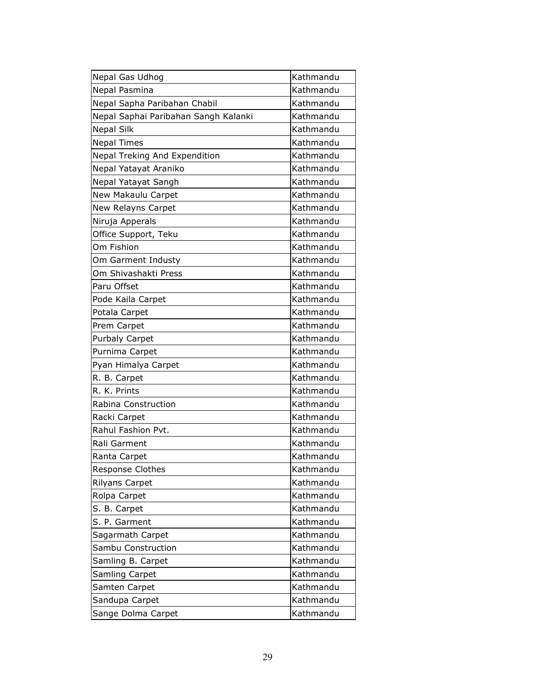| Nepal Gas Udhog                      | Kathmandu |
|--------------------------------------|-----------|
| Nepal Pasmina                        | Kathmandu |
|                                      | Kathmandu |
| Nepal Sapha Paribahan Chabil         |           |
| Nepal Saphai Paribahan Sangh Kalanki | Kathmandu |
| <b>Nepal Silk</b>                    | Kathmandu |
| <b>Nepal Times</b>                   | Kathmandu |
| Nepal Treking And Expendition        | Kathmandu |
| Nepal Yatayat Araniko                | Kathmandu |
| Nepal Yatayat Sangh                  | Kathmandu |
| New Makaulu Carpet                   | Kathmandu |
| New Relayns Carpet                   | Kathmandu |
| Niruja Apperals                      | Kathmandu |
| Office Support, Teku                 | Kathmandu |
| Om Fishion                           | Kathmandu |
| Om Garment Industy                   | Kathmandu |
| Om Shivashakti Press                 | Kathmandu |
| Paru Offset                          | Kathmandu |
| Pode Kaila Carpet                    | Kathmandu |
| Potala Carpet                        | Kathmandu |
| Prem Carpet                          | Kathmandu |
| Purbaly Carpet                       | Kathmandu |
| Purnima Carpet                       | Kathmandu |
| Pyan Himalya Carpet                  | Kathmandu |
| R. B. Carpet                         | Kathmandu |
| R. K. Prints                         | Kathmandu |
| Rabina Construction                  | Kathmandu |
| Racki Carpet                         | Kathmandu |
| Rahul Fashion Pvt.                   | Kathmandu |
| Rali Garment                         | Kathmandu |
| Ranta Carpet                         | Kathmandu |
| <b>Response Clothes</b>              | Kathmandu |
| <b>Rilyans Carpet</b>                | Kathmandu |
| Rolpa Carpet                         | Kathmandu |
| S. B. Carpet                         | Kathmandu |
| S. P. Garment                        | Kathmandu |
| Sagarmath Carpet                     | Kathmandu |
| Sambu Construction                   | Kathmandu |
| Samling B. Carpet                    | Kathmandu |
| <b>Samling Carpet</b>                | Kathmandu |
| Samten Carpet                        | Kathmandu |
| Sandupa Carpet                       | Kathmandu |
|                                      |           |
| Sange Dolma Carpet                   | Kathmandu |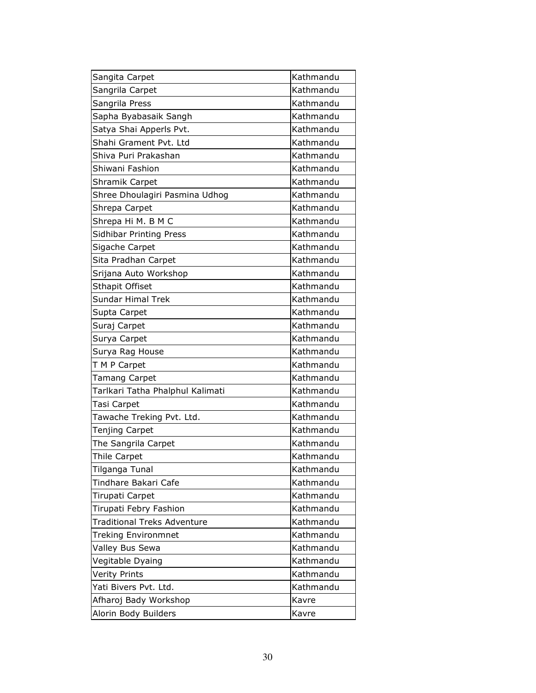| Sangita Carpet                     | Kathmandu |
|------------------------------------|-----------|
| Sangrila Carpet                    | Kathmandu |
| Sangrila Press                     | Kathmandu |
| Sapha Byabasaik Sangh              | Kathmandu |
| Satya Shai Apperls Pvt.            | Kathmandu |
| Shahi Grament Pvt. Ltd             | Kathmandu |
| Shiva Puri Prakashan               | Kathmandu |
| Shiwani Fashion                    | Kathmandu |
| <b>Shramik Carpet</b>              | Kathmandu |
| Shree Dhoulagiri Pasmina Udhog     | Kathmandu |
| Shrepa Carpet                      | Kathmandu |
| Shrepa Hi M. B M C                 | Kathmandu |
| <b>Sidhibar Printing Press</b>     | Kathmandu |
| Sigache Carpet                     | Kathmandu |
| Sita Pradhan Carpet                | Kathmandu |
| Srijana Auto Workshop              | Kathmandu |
| Sthapit Offiset                    | Kathmandu |
| <b>Sundar Himal Trek</b>           | Kathmandu |
| Supta Carpet                       | Kathmandu |
| Suraj Carpet                       | Kathmandu |
| Surya Carpet                       | Kathmandu |
| Surya Rag House                    | Kathmandu |
| T M P Carpet                       | Kathmandu |
|                                    |           |
| <b>Tamang Carpet</b>               | Kathmandu |
| Tarlkari Tatha Phalphul Kalimati   | Kathmandu |
| Tasi Carpet                        | Kathmandu |
| Tawache Treking Pvt. Ltd.          | Kathmandu |
| Tenjing Carpet                     | Kathmandu |
| The Sangrila Carpet                | Kathmandu |
| Thile Carpet                       | Kathmandu |
| Tilganga Tunal                     | Kathmandu |
| Tindhare Bakari Cafe               | Kathmandu |
| Tirupati Carpet                    | Kathmandu |
| Tirupati Febry Fashion             | Kathmandu |
| <b>Traditional Treks Adventure</b> | Kathmandu |
| <b>Treking Environmnet</b>         | Kathmandu |
| Valley Bus Sewa                    | Kathmandu |
| Vegitable Dyaing                   | Kathmandu |
| <b>Verity Prints</b>               | Kathmandu |
| Yati Bivers Pvt. Ltd.              | Kathmandu |
| Afharoj Bady Workshop              | Kavre     |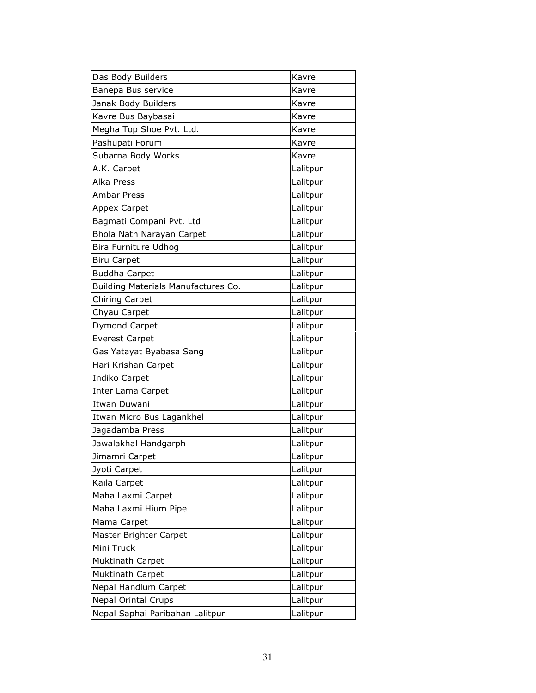| Das Body Builders                   | Kavre    |
|-------------------------------------|----------|
| Banepa Bus service                  | Kavre    |
| Janak Body Builders                 | Kavre    |
| Kavre Bus Baybasai                  | Kavre    |
| Megha Top Shoe Pvt. Ltd.            | Kavre    |
| Pashupati Forum                     | Kavre    |
| Subarna Body Works                  | Kavre    |
| A.K. Carpet                         | Lalitpur |
| Alka Press                          | Lalitpur |
| Ambar Press                         | Lalitpur |
| Appex Carpet                        | Lalitpur |
| Bagmati Compani Pvt. Ltd            | Lalitpur |
| Bhola Nath Narayan Carpet           | Lalitpur |
| Bira Furniture Udhog                | Lalitpur |
| <b>Biru Carpet</b>                  | Lalitpur |
| <b>Buddha Carpet</b>                | Lalitpur |
| Building Materials Manufactures Co. | Lalitpur |
| Chiring Carpet                      | Lalitpur |
| Chyau Carpet                        | Lalitpur |
| Dymond Carpet                       | Lalitpur |
| <b>Everest Carpet</b>               | Lalitpur |
| Gas Yatayat Byabasa Sang            | Lalitpur |
| Hari Krishan Carpet                 | Lalitpur |
| Indiko Carpet                       | Lalitpur |
| Inter Lama Carpet                   | Lalitpur |
| Itwan Duwani                        | Lalitpur |
| Itwan Micro Bus Lagankhel           | Lalitpur |
| Jagadamba Press                     | Lalitpur |
| Jawalakhal Handgarph                | Lalitpur |
| Jimamri Carpet                      | Lalitpur |
| Jyoti Carpet                        | Lalitpur |
| Kaila Carpet                        | Lalitpur |
| Maha Laxmi Carpet                   | Lalitpur |
| Maha Laxmi Hium Pipe                | Lalitpur |
| Mama Carpet                         | Lalitpur |
| Master Brighter Carpet              | Lalitpur |
| Mini Truck                          | Lalitpur |
| Muktinath Carpet                    | Lalitpur |
| Muktinath Carpet                    | Lalitpur |
| Nepal Handlum Carpet                | Lalitpur |
| <b>Nepal Orintal Crups</b>          | Lalitpur |
| Nepal Saphai Paribahan Lalitpur     | Lalitpur |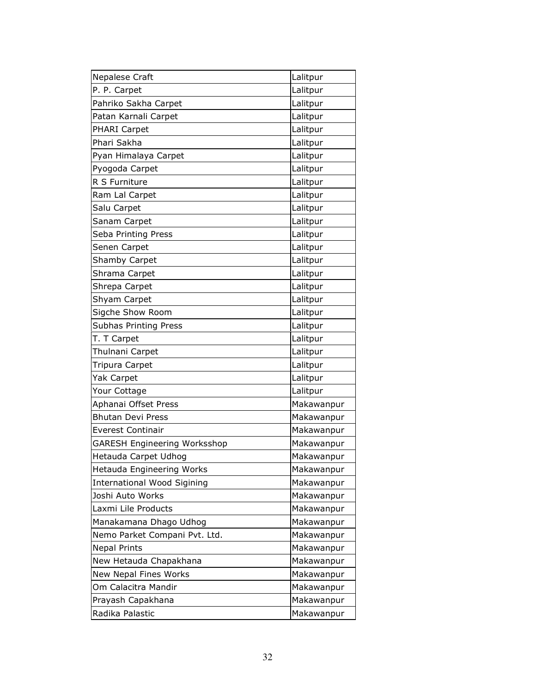| Nepalese Craft                      | Lalitpur   |
|-------------------------------------|------------|
| P. P. Carpet                        | Lalitpur   |
| Pahriko Sakha Carpet                | Lalitpur   |
| Patan Karnali Carpet                | Lalitpur   |
| PHARI Carpet                        | Lalitpur   |
| Phari Sakha                         | Lalitpur   |
| Pyan Himalaya Carpet                | Lalitpur   |
| Pyogoda Carpet                      | Lalitpur   |
| R S Furniture                       | Lalitpur   |
| Ram Lal Carpet                      | Lalitpur   |
| Salu Carpet                         | Lalitpur   |
| Sanam Carpet                        | Lalitpur   |
| Seba Printing Press                 | Lalitpur   |
| Senen Carpet                        | Lalitpur   |
| <b>Shamby Carpet</b>                | Lalitpur   |
| Shrama Carpet                       | Lalitpur   |
| Shrepa Carpet                       | Lalitpur   |
| Shyam Carpet                        | Lalitpur   |
| Sigche Show Room                    | Lalitpur   |
| <b>Subhas Printing Press</b>        | Lalitpur   |
| T. T Carpet                         | Lalitpur   |
| Thulnani Carpet                     | Lalitpur   |
| Tripura Carpet                      | Lalitpur   |
| Yak Carpet                          | Lalitpur   |
| Your Cottage                        | Lalitpur   |
| Aphanai Offset Press                | Makawanpur |
| <b>Bhutan Devi Press</b>            | Makawanpur |
| <b>Everest Continair</b>            | Makawanpur |
| <b>GARESH Engineering Worksshop</b> | Makawanpur |
| Hetauda Carpet Udhog                | Makawanpur |
| Hetauda Engineering Works           | Makawanpur |
| <b>International Wood Sigining</b>  | Makawanpur |
| Joshi Auto Works                    | Makawanpur |
| Laxmi Lile Products                 | Makawanpur |
| Manakamana Dhago Udhog              | Makawanpur |
| Nemo Parket Compani Pvt. Ltd.       | Makawanpur |
| <b>Nepal Prints</b>                 | Makawanpur |
| New Hetauda Chapakhana              | Makawanpur |
| New Nepal Fines Works               | Makawanpur |
| Om Calacitra Mandir                 | Makawanpur |
| Prayash Capakhana                   | Makawanpur |
| Radika Palastic                     | Makawanpur |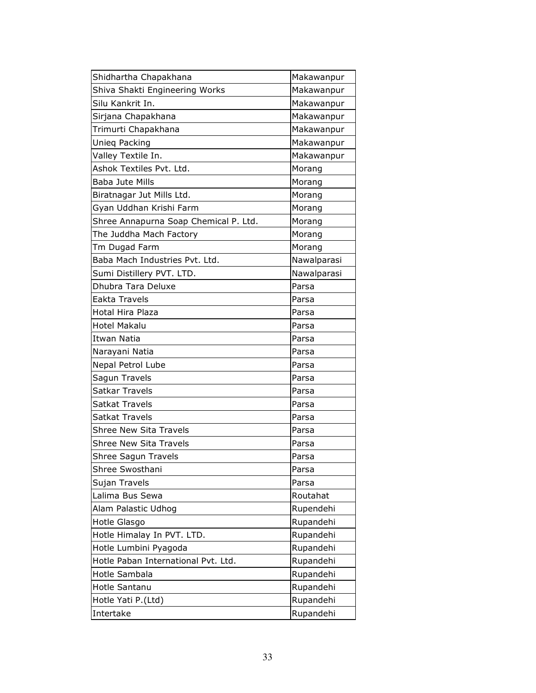| Shidhartha Chapakhana                 | Makawanpur  |
|---------------------------------------|-------------|
| Shiva Shakti Engineering Works        | Makawanpur  |
| Silu Kankrit In.                      | Makawanpur  |
| Sirjana Chapakhana                    | Makawanpur  |
| Trimurti Chapakhana                   | Makawanpur  |
| Unieq Packing                         | Makawanpur  |
| Valley Textile In.                    | Makawanpur  |
| Ashok Textiles Pvt. Ltd.              | Morang      |
| Baba Jute Mills                       | Morang      |
| Biratnagar Jut Mills Ltd.             | Morang      |
| Gyan Uddhan Krishi Farm               | Morang      |
| Shree Annapurna Soap Chemical P. Ltd. | Morang      |
| The Juddha Mach Factory               | Morang      |
| Tm Dugad Farm                         | Morang      |
| Baba Mach Industries Pvt. Ltd.        | Nawalparasi |
| Sumi Distillery PVT. LTD.             | Nawalparasi |
| Dhubra Tara Deluxe                    | Parsa       |
| Eakta Travels                         | Parsa       |
| Hotal Hira Plaza                      | Parsa       |
| <b>Hotel Makalu</b>                   | Parsa       |
| Itwan Natia                           | Parsa       |
|                                       |             |
| Narayani Natia                        | Parsa       |
| Nepal Petrol Lube                     | Parsa       |
| Sagun Travels                         | Parsa       |
| <b>Satkar Travels</b>                 | Parsa       |
| Satkat Travels                        | Parsa       |
| <b>Satkat Travels</b>                 | Parsa       |
| <b>Shree New Sita Travels</b>         | Parsa       |
| <b>Shree New Sita Travels</b>         | Parsa       |
| Shree Sagun Travels                   | Parsa       |
| Shree Swosthani                       | Parsa       |
| Sujan Travels                         | Parsa       |
| Lalima Bus Sewa                       | Routahat    |
| Alam Palastic Udhog                   | Rupendehi   |
| Hotle Glasgo                          | Rupandehi   |
| Hotle Himalay In PVT. LTD.            | Rupandehi   |
| Hotle Lumbini Pyagoda                 | Rupandehi   |
| Hotle Paban International Pvt. Ltd.   | Rupandehi   |
| Hotle Sambala                         | Rupandehi   |
| Hotle Santanu                         | Rupandehi   |
| Hotle Yati P.(Ltd)                    | Rupandehi   |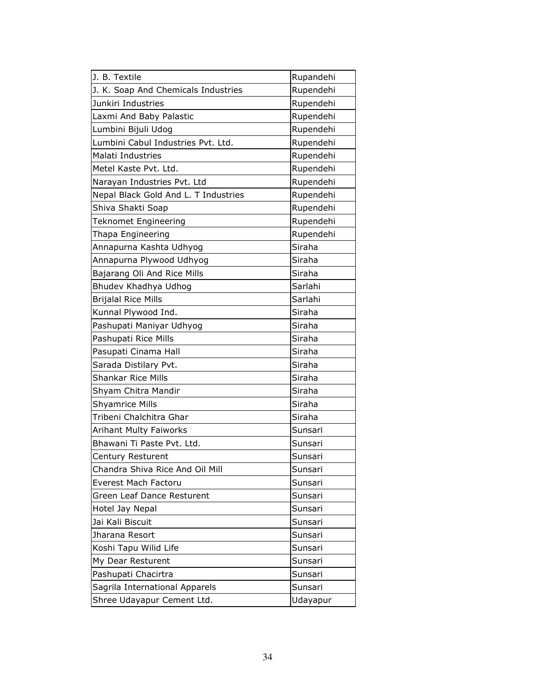| J. B. Textile                        | Rupandehi |
|--------------------------------------|-----------|
| J. K. Soap And Chemicals Industries  | Rupendehi |
| Junkiri Industries                   | Rupendehi |
| Laxmi And Baby Palastic              | Rupendehi |
| Lumbini Bijuli Udog                  | Rupendehi |
| Lumbini Cabul Industries Pvt. Ltd.   | Rupendehi |
| Malati Industries                    | Rupendehi |
| Metel Kaste Pvt. Ltd.                | Rupendehi |
| Narayan Industries Pvt. Ltd          | Rupendehi |
| Nepal Black Gold And L. T Industries | Rupendehi |
| Shiva Shakti Soap                    | Rupendehi |
| Teknomet Engineering                 | Rupendehi |
| Thapa Engineering                    | Rupendehi |
| Annapurna Kashta Udhyog              | Siraha    |
| Annapurna Plywood Udhyog             | Siraha    |
| Bajarang Oli And Rice Mills          | Siraha    |
| Bhudev Khadhya Udhog                 | Sarlahi   |
| <b>Brijalal Rice Mills</b>           | Sarlahi   |
| Kunnal Plywood Ind.                  | Siraha    |
| Pashupati Maniyar Udhyog             | Siraha    |
| Pashupati Rice Mills                 | Siraha    |
| Pasupati Cinama Hall                 | Siraha    |
| Sarada Distilary Pvt.                | Siraha    |
| <b>Shankar Rice Mills</b>            | Siraha    |
| Shyam Chitra Mandir                  | Siraha    |
| <b>Shyamrice Mills</b>               | Siraha    |
| Tribeni Chalchitra Ghar              | Siraha    |
| <b>Arihant Multy Faiworks</b>        | Sunsari   |
| Bhawani Ti Paste Pvt. Ltd.           | Sunsari   |
| <b>Century Resturent</b>             | Sunsari   |
| Chandra Shiva Rice And Oil Mill      | Sunsari   |
| Everest Mach Factoru                 | Sunsari   |
| Green Leaf Dance Resturent           | Sunsari   |
| Hotel Jay Nepal                      | Sunsari   |
| Jai Kali Biscuit                     | Sunsari   |
| Jharana Resort                       | Sunsari   |
| Koshi Tapu Wilid Life                | Sunsari   |
| My Dear Resturent                    | Sunsari   |
| Pashupati Chacirtra                  | Sunsari   |
| Sagrila International Apparels       | Sunsari   |
| Shree Udayapur Cement Ltd.           | Udayapur  |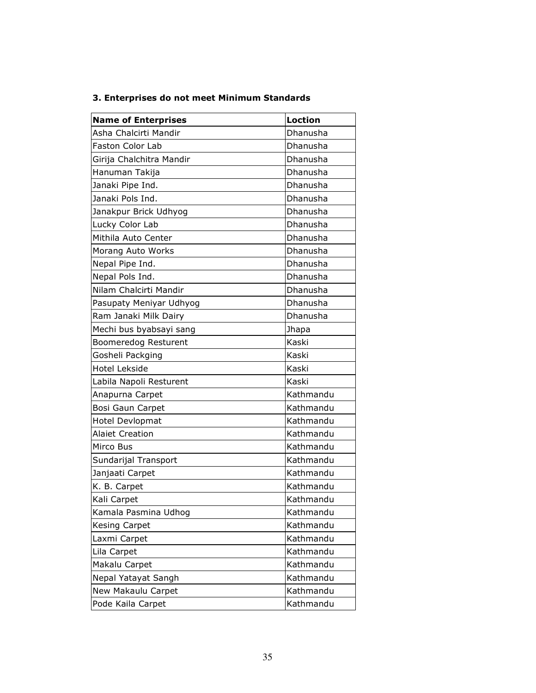| <b>Name of Enterprises</b> | <b>Loction</b> |
|----------------------------|----------------|
| Asha Chalcirti Mandir      | Dhanusha       |
| Faston Color Lab           | Dhanusha       |
| Girija Chalchitra Mandir   | Dhanusha       |
| Hanuman Takija             | Dhanusha       |
| Janaki Pipe Ind.           | Dhanusha       |
| Janaki Pols Ind.           | Dhanusha       |
| Janakpur Brick Udhyog      | Dhanusha       |
| Lucky Color Lab            | Dhanusha       |
| Mithila Auto Center        | Dhanusha       |
| Morang Auto Works          | Dhanusha       |
| Nepal Pipe Ind.            | Dhanusha       |
| Nepal Pols Ind.            | Dhanusha       |
| Nilam Chalcirti Mandir     | Dhanusha       |
| Pasupaty Meniyar Udhyog    | Dhanusha       |
| Ram Janaki Milk Dairy      | Dhanusha       |
| Mechi bus byabsayi sang    | Jhapa          |
| Boomeredog Resturent       | Kaski          |
| Gosheli Packging           | Kaski          |
| <b>Hotel Lekside</b>       | Kaski          |
| Labila Napoli Resturent    | Kaski          |
| Anapurna Carpet            | Kathmandu      |
| Bosi Gaun Carpet           | Kathmandu      |
| Hotel Devlopmat            | Kathmandu      |
| <b>Alaiet Creation</b>     | Kathmandu      |
| Mirco Bus                  | Kathmandu      |
| Sundarijal Transport       | Kathmandu      |
| Janjaati Carpet            | Kathmandu      |
| K. B. Carpet               | Kathmandu      |
| Kali Carpet                | Kathmandu      |
| Kamala Pasmina Udhog       | Kathmandu      |
| <b>Kesing Carpet</b>       | Kathmandu      |
| Laxmi Carpet               | Kathmandu      |
| Lila Carpet                | Kathmandu      |
| Makalu Carpet              | Kathmandu      |
| Nepal Yatayat Sangh        | Kathmandu      |
| New Makaulu Carpet         | Kathmandu      |
| Pode Kaila Carpet          | Kathmandu      |

### 3. Enterprises do not meet Minimum Standards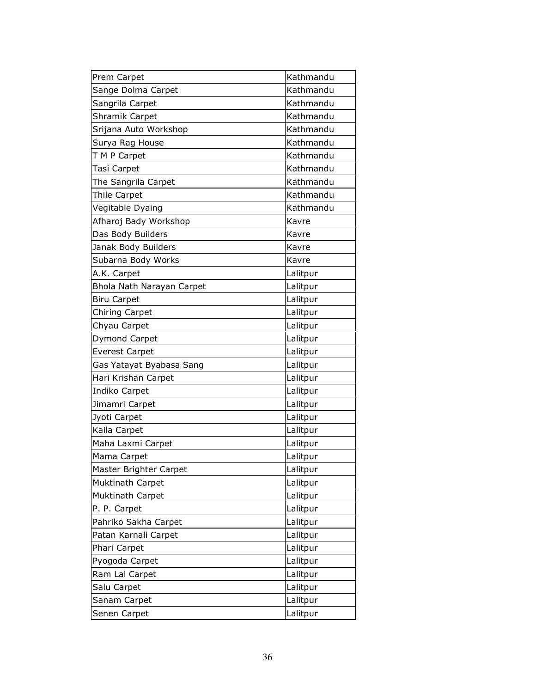| Prem Carpet               | Kathmandu |
|---------------------------|-----------|
| Sange Dolma Carpet        | Kathmandu |
| Sangrila Carpet           | Kathmandu |
| Shramik Carpet            | Kathmandu |
| Srijana Auto Workshop     | Kathmandu |
| Surya Rag House           | Kathmandu |
| T M P Carpet              | Kathmandu |
| Tasi Carpet               | Kathmandu |
| The Sangrila Carpet       | Kathmandu |
| Thile Carpet              | Kathmandu |
| Vegitable Dyaing          | Kathmandu |
| Afharoj Bady Workshop     | Kavre     |
| Das Body Builders         | Kavre     |
| Janak Body Builders       | Kavre     |
| Subarna Body Works        | Kavre     |
| A.K. Carpet               | Lalitpur  |
| Bhola Nath Narayan Carpet | Lalitpur  |
| <b>Biru Carpet</b>        | Lalitpur  |
| Chiring Carpet            | Lalitpur  |
| Chyau Carpet              | Lalitpur  |
| Dymond Carpet             | Lalitpur  |
| <b>Everest Carpet</b>     | Lalitpur  |
| Gas Yatayat Byabasa Sang  | Lalitpur  |
| Hari Krishan Carpet       | Lalitpur  |
| Indiko Carpet             | Lalitpur  |
| Jimamri Carpet            | Lalitpur  |
| Jyoti Carpet              | Lalitpur  |
| Kaila Carpet              | Lalitpur  |
| Maha Laxmi Carpet         | Lalitpur  |
| Mama Carpet               | Lalitpur  |
| Master Brighter Carpet    | Lalitpur  |
| Muktinath Carpet          | Lalitpur  |
| Muktinath Carpet          | Lalitpur  |
| P. P. Carpet              | Lalitpur  |
| Pahriko Sakha Carpet      | Lalitpur  |
| Patan Karnali Carpet      | Lalitpur  |
| Phari Carpet              | Lalitpur  |
| Pyogoda Carpet            | Lalitpur  |
| Ram Lal Carpet            | Lalitpur  |
| Salu Carpet               | Lalitpur  |
| Sanam Carpet              | Lalitpur  |
| Senen Carpet              | Lalitpur  |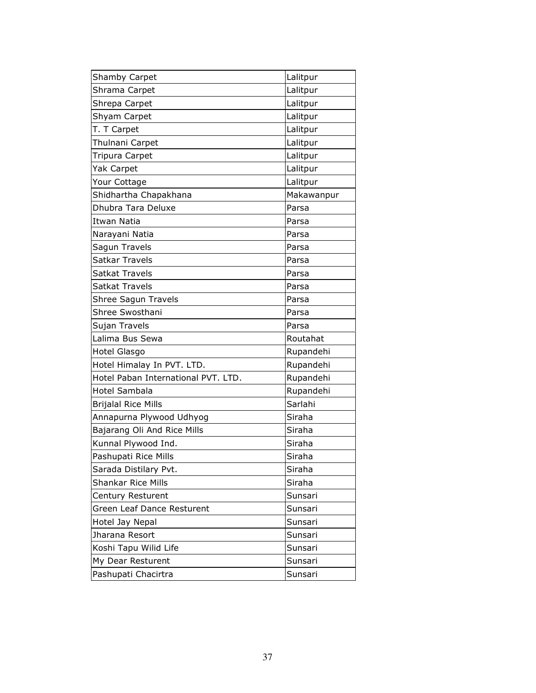| <b>Shamby Carpet</b>                | Lalitpur   |
|-------------------------------------|------------|
| Shrama Carpet                       | Lalitpur   |
| Shrepa Carpet                       | Lalitpur   |
| Shyam Carpet                        | Lalitpur   |
| T. T Carpet                         | Lalitpur   |
| Thulnani Carpet                     | Lalitpur   |
| Tripura Carpet                      | Lalitpur   |
| Yak Carpet                          | Lalitpur   |
| Your Cottage                        | Lalitpur   |
| Shidhartha Chapakhana               | Makawanpur |
| Dhubra Tara Deluxe                  | Parsa      |
| Itwan Natia                         | Parsa      |
| Narayani Natia                      | Parsa      |
| Sagun Travels                       | Parsa      |
| Satkar Travels                      | Parsa      |
| Satkat Travels                      | Parsa      |
| Satkat Travels                      | Parsa      |
| Shree Sagun Travels                 | Parsa      |
| Shree Swosthani                     | Parsa      |
| Sujan Travels                       | Parsa      |
| Lalima Bus Sewa                     | Routahat   |
| Hotel Glasgo                        | Rupandehi  |
| Hotel Himalay In PVT. LTD.          | Rupandehi  |
| Hotel Paban International PVT. LTD. | Rupandehi  |
| Hotel Sambala                       | Rupandehi  |
| <b>Brijalal Rice Mills</b>          | Sarlahi    |
| Annapurna Plywood Udhyog            | Siraha     |
| Bajarang Oli And Rice Mills         | Siraha     |
| Kunnal Plywood Ind.                 | Siraha     |
| Pashupati Rice Mills                | Siraha     |
| Sarada Distilary Pvt.               | Siraha     |
| Shankar Rice Mills                  | Siraha     |
| Century Resturent                   | Sunsari    |
| Green Leaf Dance Resturent          | Sunsari    |
| Hotel Jay Nepal                     | Sunsari    |
| Jharana Resort                      | Sunsari    |
| Koshi Tapu Wilid Life               | Sunsari    |
| My Dear Resturent                   | Sunsari    |
| Pashupati Chacirtra                 | Sunsari    |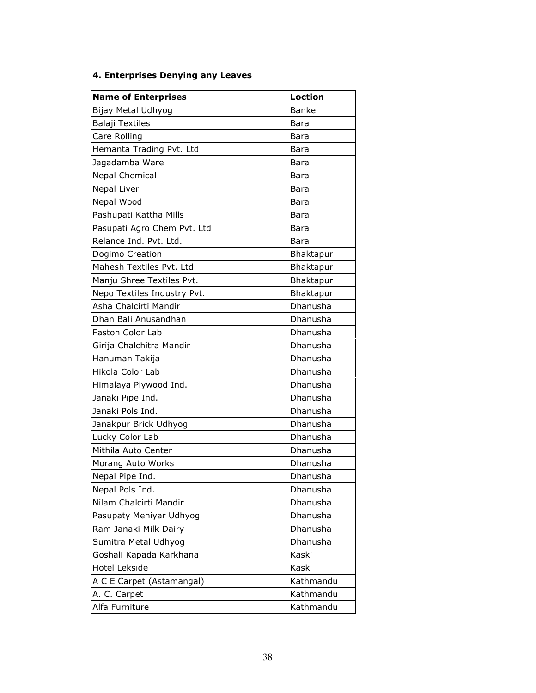# 4. Enterprises Denying any Leaves

| <b>Name of Enterprises</b>  | <b>Loction</b> |
|-----------------------------|----------------|
| Bijay Metal Udhyog          | Banke          |
| Balaji Textiles             | <b>Bara</b>    |
| Care Rolling                | Bara           |
| Hemanta Trading Pvt. Ltd    | Bara           |
| Jagadamba Ware              | Bara           |
| Nepal Chemical              | <b>Bara</b>    |
| Nepal Liver                 | Bara           |
| Nepal Wood                  | Bara           |
| Pashupati Kattha Mills      | Bara           |
| Pasupati Agro Chem Pvt. Ltd | <b>Bara</b>    |
| Relance Ind. Pvt. Ltd.      | <b>Bara</b>    |
| Dogimo Creation             | Bhaktapur      |
| Mahesh Textiles Pyt. Ltd    | Bhaktapur      |
| Manju Shree Textiles Pvt.   | Bhaktapur      |
| Nepo Textiles Industry Pvt. | Bhaktapur      |
| Asha Chalcirti Mandir       | Dhanusha       |
| Dhan Bali Anusandhan        | Dhanusha       |
| Faston Color Lab            | Dhanusha       |
| Girija Chalchitra Mandir    | Dhanusha       |
| Hanuman Takija              | Dhanusha       |
| Hikola Color Lab            | Dhanusha       |
| Himalaya Plywood Ind.       | Dhanusha       |
| Janaki Pipe Ind.            | Dhanusha       |
| Janaki Pols Ind.            | Dhanusha       |
| Janakpur Brick Udhyog       | Dhanusha       |
| Lucky Color Lab             | Dhanusha       |
| Mithila Auto Center         | Dhanusha       |
| Morang Auto Works           | Dhanusha       |
| Nepal Pipe Ind.             | Dhanusha       |
| Nepal Pols Ind.             | Dhanusha       |
| Nilam Chalcirti Mandir      | Dhanusha       |
| Pasupaty Meniyar Udhyog     | Dhanusha       |
| Ram Janaki Milk Dairy       | Dhanusha       |
| Sumitra Metal Udhyog        | Dhanusha       |
| Goshali Kapada Karkhana     | Kaski          |
| Hotel Lekside               | Kaski          |
| A C E Carpet (Astamangal)   | Kathmandu      |
| A. C. Carpet                | Kathmandu      |
| Alfa Furniture              | Kathmandu      |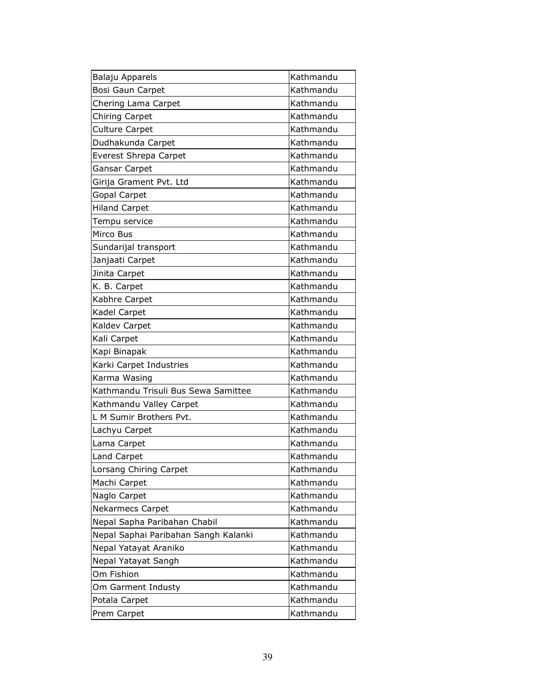| Balaju Apparels                      | Kathmandu |
|--------------------------------------|-----------|
| Bosi Gaun Carpet                     | Kathmandu |
| Chering Lama Carpet                  | Kathmandu |
| Chiring Carpet                       | Kathmandu |
| <b>Culture Carpet</b>                | Kathmandu |
| Dudhakunda Carpet                    | Kathmandu |
| Everest Shrepa Carpet                | Kathmandu |
| Gansar Carpet                        | Kathmandu |
| Girija Grament Pvt. Ltd              | Kathmandu |
| <b>Gopal Carpet</b>                  | Kathmandu |
| <b>Hiland Carpet</b>                 | Kathmandu |
| Tempu service                        | Kathmandu |
| Mirco Bus                            | Kathmandu |
| Sundarijal transport                 | Kathmandu |
| Janjaati Carpet                      | Kathmandu |
| Jinita Carpet                        | Kathmandu |
| K. B. Carpet                         | Kathmandu |
| Kabhre Carpet                        | Kathmandu |
| Kadel Carpet                         | Kathmandu |
| Kaldev Carpet                        | Kathmandu |
| Kali Carpet                          | Kathmandu |
| Kapi Binapak                         | Kathmandu |
| Karki Carpet Industries              | Kathmandu |
| Karma Wasing                         | Kathmandu |
| Kathmandu Trisuli Bus Sewa Samittee  | Kathmandu |
| Kathmandu Valley Carpet              | Kathmandu |
| L M Sumir Brothers Pvt.              | Kathmandu |
| Lachyu Carpet                        | Kathmandu |
| Lama Carpet                          | Kathmandu |
| Land Carpet                          | Kathmandu |
| Lorsang Chiring Carpet               | Kathmandu |
| Machi Carpet                         | Kathmandu |
| Naglo Carpet                         | Kathmandu |
| Nekarmecs Carpet                     | Kathmandu |
| Nepal Sapha Paribahan Chabil         | Kathmandu |
| Nepal Saphai Paribahan Sangh Kalanki | Kathmandu |
| Nepal Yatayat Araniko                | Kathmandu |
| Nepal Yatayat Sangh                  | Kathmandu |
| Om Fishion                           | Kathmandu |
| Om Garment Industy                   | Kathmandu |
| Potala Carpet                        | Kathmandu |
| Prem Carpet                          | Kathmandu |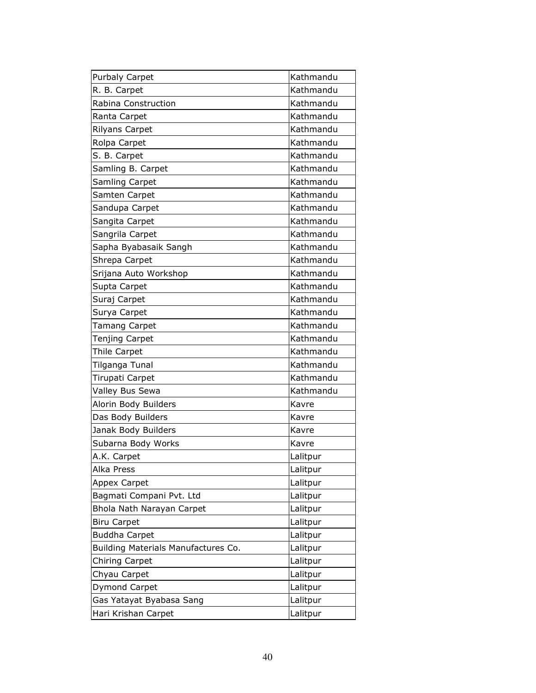| Purbaly Carpet                      | Kathmandu |
|-------------------------------------|-----------|
| R. B. Carpet                        | Kathmandu |
| Rabina Construction                 | Kathmandu |
| Ranta Carpet                        | Kathmandu |
| <b>Rilyans Carpet</b>               | Kathmandu |
| Rolpa Carpet                        | Kathmandu |
| S. B. Carpet                        | Kathmandu |
| Samling B. Carpet                   | Kathmandu |
| <b>Samling Carpet</b>               | Kathmandu |
| Samten Carpet                       | Kathmandu |
| Sandupa Carpet                      | Kathmandu |
| Sangita Carpet                      | Kathmandu |
| Sangrila Carpet                     | Kathmandu |
| Sapha Byabasaik Sangh               | Kathmandu |
| Shrepa Carpet                       | Kathmandu |
| Srijana Auto Workshop               | Kathmandu |
| Supta Carpet                        | Kathmandu |
| Suraj Carpet                        | Kathmandu |
| Surya Carpet                        | Kathmandu |
| <b>Tamang Carpet</b>                | Kathmandu |
| Tenjing Carpet                      | Kathmandu |
| Thile Carpet                        | Kathmandu |
| Tilganga Tunal                      | Kathmandu |
| Tirupati Carpet                     | Kathmandu |
| Valley Bus Sewa                     | Kathmandu |
| Alorin Body Builders                | Kavre     |
| Das Body Builders                   | Kavre     |
| Janak Body Builders                 | Kavre     |
| Subarna Body Works                  | Kavre     |
| A.K. Carpet                         | Lalitpur  |
| Alka Press                          | Lalitpur  |
| Appex Carpet                        | Lalitpur  |
| Bagmati Compani Pvt. Ltd            | Lalitpur  |
| Bhola Nath Narayan Carpet           | Lalitpur  |
| <b>Biru Carpet</b>                  | Lalitpur  |
| <b>Buddha Carpet</b>                | Lalitpur  |
| Building Materials Manufactures Co. | Lalitpur  |
| Chiring Carpet                      | Lalitpur  |
| Chyau Carpet                        | Lalitpur  |
| <b>Dymond Carpet</b>                | Lalitpur  |
| Gas Yatayat Byabasa Sang            | Lalitpur  |
| Hari Krishan Carpet                 | Lalitpur  |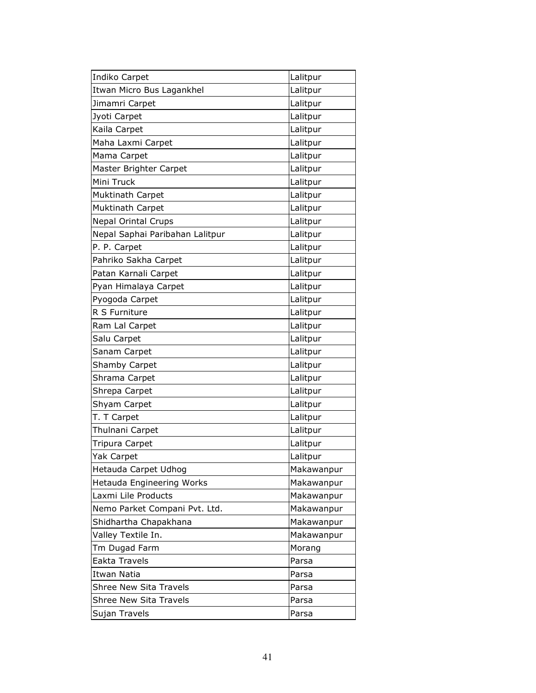| Indiko Carpet                    | Lalitpur   |
|----------------------------------|------------|
| Itwan Micro Bus Lagankhel        | Lalitpur   |
| Jimamri Carpet                   | Lalitpur   |
| Jyoti Carpet                     | Lalitpur   |
| Kaila Carpet                     | Lalitpur   |
| Maha Laxmi Carpet                | Lalitpur   |
| Mama Carpet                      | Lalitpur   |
| Master Brighter Carpet           | Lalitpur   |
| Mini Truck                       | Lalitpur   |
| Muktinath Carpet                 | Lalitpur   |
| Muktinath Carpet                 | Lalitpur   |
| <b>Nepal Orintal Crups</b>       | Lalitpur   |
| Nepal Saphai Paribahan Lalitpur  | Lalitpur   |
| P. P. Carpet                     | Lalitpur   |
| Pahriko Sakha Carpet             | Lalitpur   |
| Patan Karnali Carpet             | Lalitpur   |
| Pyan Himalaya Carpet             | Lalitpur   |
| Pyogoda Carpet                   | Lalitpur   |
| R S Furniture                    | Lalitpur   |
| Ram Lal Carpet                   | Lalitpur   |
| Salu Carpet                      | Lalitpur   |
| Sanam Carpet                     | Lalitpur   |
| <b>Shamby Carpet</b>             | Lalitpur   |
| Shrama Carpet                    | Lalitpur   |
| Shrepa Carpet                    | Lalitpur   |
| Shyam Carpet                     | Lalitpur   |
| T. T Carpet                      | Lalitpur   |
| Thulnani Carpet                  | Lalitpur   |
| Tripura Carpet                   | Lalitpur   |
| Yak Carpet                       | Lalitpur   |
| Hetauda Carpet Udhog             | Makawanpur |
| <b>Hetauda Engineering Works</b> | Makawanpur |
| Laxmi Lile Products              | Makawanpur |
| Nemo Parket Compani Pvt. Ltd.    | Makawanpur |
| Shidhartha Chapakhana            | Makawanpur |
| Valley Textile In.               | Makawanpur |
| Tm Dugad Farm                    | Morang     |
| Eakta Travels                    | Parsa      |
| Itwan Natia                      | Parsa      |
| <b>Shree New Sita Travels</b>    | Parsa      |
| <b>Shree New Sita Travels</b>    | Parsa      |
| Sujan Travels                    | Parsa      |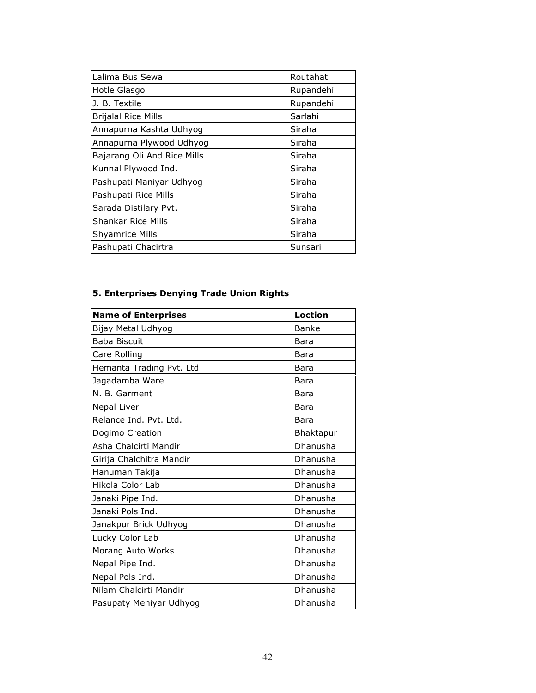| Lalima Bus Sewa             | Routahat  |
|-----------------------------|-----------|
| Hotle Glasgo                | Rupandehi |
| J. B. Textile               | Rupandehi |
| <b>Brijalal Rice Mills</b>  | Sarlahi   |
| Annapurna Kashta Udhyog     | Siraha    |
| Annapurna Plywood Udhyog    | Siraha    |
| Bajarang Oli And Rice Mills | Siraha    |
| Kunnal Plywood Ind.         | Siraha    |
| Pashupati Maniyar Udhyog    | Siraha    |
| Pashupati Rice Mills        | Siraha    |
| Sarada Distilary Pvt.       | Siraha    |
| Shankar Rice Mills          | Siraha    |
| <b>Shyamrice Mills</b>      | Siraha    |
| Pashupati Chacirtra         | Sunsari   |

### 5. Enterprises Denying Trade Union Rights

| <b>Name of Enterprises</b> | <b>Loction</b> |
|----------------------------|----------------|
| Bijay Metal Udhyog         | <b>Banke</b>   |
| Baba Biscuit               | Bara           |
| Care Rolling               | Bara           |
| Hemanta Trading Pvt. Ltd   | Bara           |
| Jagadamba Ware             | Bara           |
| N. B. Garment              | Bara           |
| Nepal Liver                | Bara           |
| Relance Ind. Pvt. Ltd.     | Bara           |
| Dogimo Creation            | Bhaktapur      |
| Asha Chalcirti Mandir      | Dhanusha       |
| Girija Chalchitra Mandir   | Dhanusha       |
| Hanuman Takija             | Dhanusha       |
| Hikola Color Lab           | Dhanusha       |
| Janaki Pipe Ind.           | Dhanusha       |
| Janaki Pols Ind.           | Dhanusha       |
| Janakpur Brick Udhyog      | Dhanusha       |
| Lucky Color Lab            | Dhanusha       |
| Morang Auto Works          | Dhanusha       |
| Nepal Pipe Ind.            | Dhanusha       |
| Nepal Pols Ind.            | Dhanusha       |
| Nilam Chalcirti Mandir     | Dhanusha       |
| Pasupaty Meniyar Udhyog    | Dhanusha       |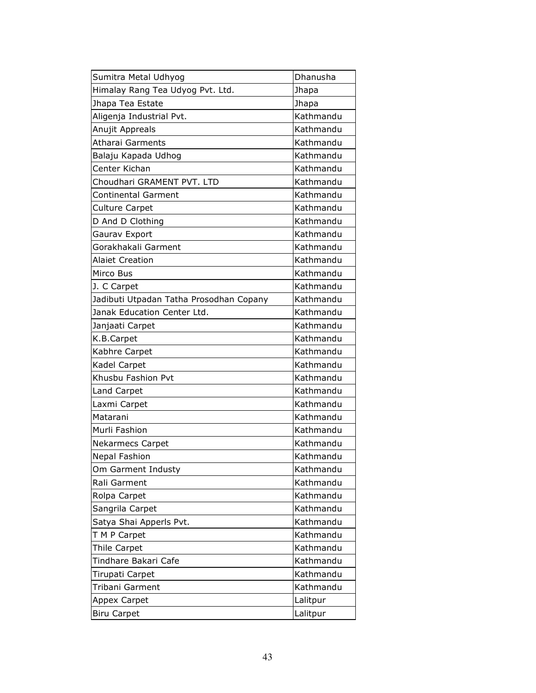| Sumitra Metal Udhyog                    | Dhanusha  |
|-----------------------------------------|-----------|
| Himalay Rang Tea Udyog Pvt. Ltd.        | Jhapa     |
| Jhapa Tea Estate                        | Jhapa     |
| Aligenja Industrial Pvt.                | Kathmandu |
| Anujit Appreals                         | Kathmandu |
| Atharai Garments                        | Kathmandu |
| Balaju Kapada Udhog                     | Kathmandu |
| Center Kichan                           | Kathmandu |
| Choudhari GRAMENT PVT. LTD              | Kathmandu |
| Continental Garment                     | Kathmandu |
| <b>Culture Carpet</b>                   | Kathmandu |
| D And D Clothing                        | Kathmandu |
| Gaurav Export                           | Kathmandu |
| Gorakhakali Garment                     | Kathmandu |
| <b>Alaiet Creation</b>                  | Kathmandu |
| Mirco Bus                               | Kathmandu |
| J. C Carpet                             | Kathmandu |
| Jadibuti Utpadan Tatha Prosodhan Copany | Kathmandu |
| Janak Education Center Ltd.             | Kathmandu |
| Janjaati Carpet                         | Kathmandu |
| K.B.Carpet                              | Kathmandu |
| Kabhre Carpet                           | Kathmandu |
| Kadel Carpet                            | Kathmandu |
| Khusbu Fashion Pvt                      | Kathmandu |
| Land Carpet                             | Kathmandu |
| Laxmi Carpet                            | Kathmandu |
| Matarani                                | Kathmandu |
| Murli Fashion                           | Kathmandu |
| Nekarmecs Carpet                        | Kathmandu |
| Nepal Fashion                           | Kathmandu |
| Om Garment Industy                      | Kathmandu |
| Rali Garment                            | Kathmandu |
| Rolpa Carpet                            | Kathmandu |
| Sangrila Carpet                         | Kathmandu |
| Satya Shai Apperls Pvt.                 | Kathmandu |
| T M P Carpet                            | Kathmandu |
| Thile Carpet                            | Kathmandu |
| Tindhare Bakari Cafe                    | Kathmandu |
| Tirupati Carpet                         | Kathmandu |
| Tribani Garment                         | Kathmandu |
| Appex Carpet                            | Lalitpur  |
| <b>Biru Carpet</b>                      | Lalitpur  |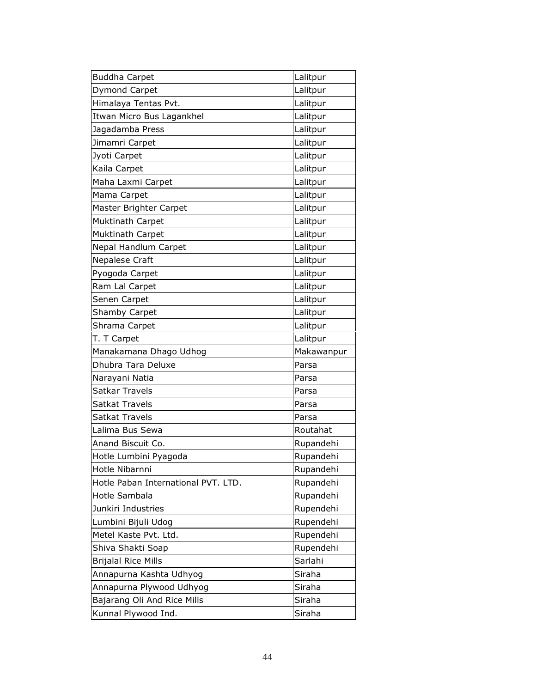| <b>Buddha Carpet</b>                | Lalitpur   |
|-------------------------------------|------------|
| Dymond Carpet                       | Lalitpur   |
| Himalaya Tentas Pvt.                | Lalitpur   |
| Itwan Micro Bus Lagankhel           | Lalitpur   |
| Jagadamba Press                     | Lalitpur   |
| Jimamri Carpet                      | Lalitpur   |
| Jyoti Carpet                        | Lalitpur   |
| Kaila Carpet                        | Lalitpur   |
| Maha Laxmi Carpet                   | Lalitpur   |
| Mama Carpet                         | Lalitpur   |
| Master Brighter Carpet              | Lalitpur   |
| Muktinath Carpet                    | Lalitpur   |
| Muktinath Carpet                    | Lalitpur   |
| Nepal Handlum Carpet                | Lalitpur   |
| Nepalese Craft                      | Lalitpur   |
| Pyogoda Carpet                      | Lalitpur   |
| Ram Lal Carpet                      | Lalitpur   |
| Senen Carpet                        | Lalitpur   |
| <b>Shamby Carpet</b>                | Lalitpur   |
| Shrama Carpet                       | Lalitpur   |
| T. T Carpet                         | Lalitpur   |
| Manakamana Dhago Udhog              | Makawanpur |
| Dhubra Tara Deluxe                  | Parsa      |
| Narayani Natia                      | Parsa      |
| Satkar Travels                      | Parsa      |
| Satkat Travels                      | Parsa      |
| Satkat Travels                      | Parsa      |
| Lalima Bus Sewa                     | Routahat   |
| Anand Biscuit Co.                   | Rupandehi  |
| Hotle Lumbini Pyagoda               | Rupandehi  |
| Hotle Nibarnni                      | Rupandehi  |
| Hotle Paban International PVT. LTD. | Rupandehi  |
| Hotle Sambala                       | Rupandehi  |
| Junkiri Industries                  | Rupendehi  |
| Lumbini Bijuli Udog                 | Rupendehi  |
| Metel Kaste Pvt. Ltd.               | Rupendehi  |
| Shiva Shakti Soap                   | Rupendehi  |
| <b>Brijalal Rice Mills</b>          | Sarlahi    |
| Annapurna Kashta Udhyog             | Siraha     |
| Annapurna Plywood Udhyog            | Siraha     |
| Bajarang Oli And Rice Mills         |            |
|                                     | Siraha     |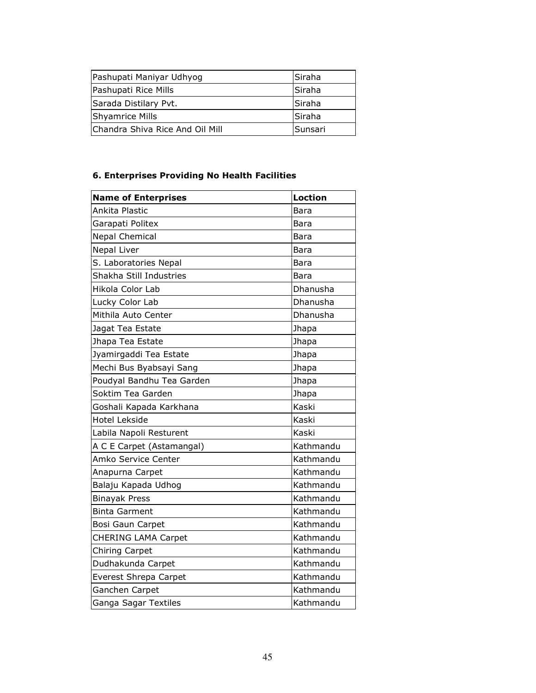| Pashupati Maniyar Udhyog         | <b>ISiraha</b> |
|----------------------------------|----------------|
| Pashupati Rice Mills             | <b>ISiraha</b> |
| Sarada Distilary Pvt.            | Siraha         |
| Shyamrice Mills                  | Siraha         |
| lChandra Shiva Rice And Oil Mill | lSunsari       |

# 6. Enterprises Providing No Health Facilities

| <b>Name of Enterprises</b> | <b>Loction</b> |
|----------------------------|----------------|
| Ankita Plastic             | Bara           |
| Garapati Politex           | Bara           |
| <b>Nepal Chemical</b>      | Bara           |
| <b>Nepal Liver</b>         | Bara           |
| S. Laboratories Nepal      | Bara           |
| Shakha Still Industries    | Bara           |
| Hikola Color Lab           | Dhanusha       |
| Lucky Color Lab            | Dhanusha       |
| Mithila Auto Center        | Dhanusha       |
| Jagat Tea Estate           | Jhapa          |
| Jhapa Tea Estate           | Jhapa          |
| Jyamirgaddi Tea Estate     | Jhapa          |
| Mechi Bus Byabsayi Sang    | Jhapa          |
| Poudyal Bandhu Tea Garden  | Jhapa          |
| Soktim Tea Garden          | Jhapa          |
| Goshali Kapada Karkhana    | Kaski          |
| <b>Hotel Lekside</b>       | Kaski          |
| Labila Napoli Resturent    | Kaski          |
| A C E Carpet (Astamangal)  | Kathmandu      |
| Amko Service Center        | Kathmandu      |
| Anapurna Carpet            | Kathmandu      |
| Balaju Kapada Udhog        | Kathmandu      |
| <b>Binayak Press</b>       | Kathmandu      |
| <b>Binta Garment</b>       | Kathmandu      |
| Bosi Gaun Carpet           | Kathmandu      |
| <b>CHERING LAMA Carpet</b> | Kathmandu      |
| Chiring Carpet             | Kathmandu      |
| Dudhakunda Carpet          | Kathmandu      |
| Everest Shrepa Carpet      | Kathmandu      |
| Ganchen Carpet             | Kathmandu      |
| Ganga Sagar Textiles       | Kathmandu      |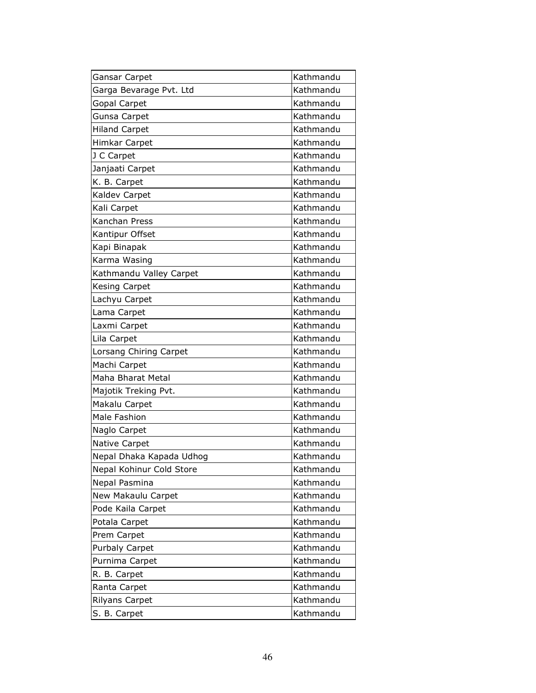| Gansar Carpet            | Kathmandu |
|--------------------------|-----------|
| Garga Bevarage Pvt. Ltd  | Kathmandu |
| Gopal Carpet             | Kathmandu |
| Gunsa Carpet             | Kathmandu |
| <b>Hiland Carpet</b>     | Kathmandu |
| Himkar Carpet            | Kathmandu |
| J C Carpet               | Kathmandu |
| Janjaati Carpet          | Kathmandu |
| K. B. Carpet             | Kathmandu |
| Kaldev Carpet            | Kathmandu |
| Kali Carpet              | Kathmandu |
| Kanchan Press            | Kathmandu |
| Kantipur Offset          | Kathmandu |
| Kapi Binapak             | Kathmandu |
| Karma Wasing             | Kathmandu |
| Kathmandu Valley Carpet  | Kathmandu |
| Kesing Carpet            | Kathmandu |
| Lachyu Carpet            | Kathmandu |
| Lama Carpet              | Kathmandu |
| Laxmi Carpet             | Kathmandu |
| Lila Carpet              | Kathmandu |
| Lorsang Chiring Carpet   | Kathmandu |
| Machi Carpet             | Kathmandu |
| Maha Bharat Metal        | Kathmandu |
| Majotik Treking Pvt.     | Kathmandu |
| Makalu Carpet            | Kathmandu |
| Male Fashion             | Kathmandu |
| Naglo Carpet             | Kathmandu |
| Native Carpet            | Kathmandu |
| Nepal Dhaka Kapada Udhog | Kathmandu |
| Nepal Kohinur Cold Store | Kathmandu |
| Nepal Pasmina            | Kathmandu |
| New Makaulu Carpet       | Kathmandu |
| Pode Kaila Carpet        | Kathmandu |
| Potala Carpet            | Kathmandu |
| Prem Carpet              | Kathmandu |
| Purbaly Carpet           | Kathmandu |
| Purnima Carpet           | Kathmandu |
| R. B. Carpet             | Kathmandu |
| Ranta Carpet             | Kathmandu |
| Rilyans Carpet           | Kathmandu |
| S. B. Carpet             | Kathmandu |
|                          |           |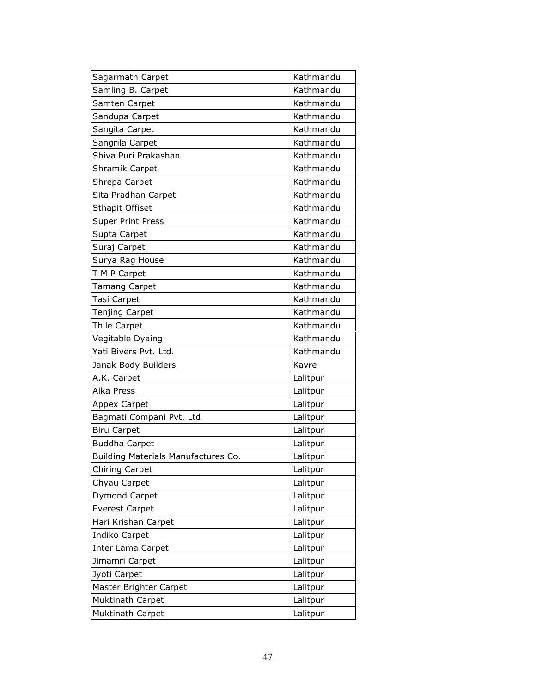| Sagarmath Carpet                    | Kathmandu |
|-------------------------------------|-----------|
| Samling B. Carpet                   | Kathmandu |
| Samten Carpet                       | Kathmandu |
| Sandupa Carpet                      | Kathmandu |
| Sangita Carpet                      | Kathmandu |
| Sangrila Carpet                     | Kathmandu |
| Shiva Puri Prakashan                | Kathmandu |
| Shramik Carpet                      | Kathmandu |
| Shrepa Carpet                       | Kathmandu |
| Sita Pradhan Carpet                 | Kathmandu |
| <b>Sthapit Offiset</b>              | Kathmandu |
| <b>Super Print Press</b>            | Kathmandu |
| Supta Carpet                        | Kathmandu |
| Suraj Carpet                        | Kathmandu |
| Surya Rag House                     | Kathmandu |
| T M P Carpet                        | Kathmandu |
| <b>Tamang Carpet</b>                | Kathmandu |
| Tasi Carpet                         | Kathmandu |
| Tenjing Carpet                      | Kathmandu |
| Thile Carpet                        | Kathmandu |
| Vegitable Dyaing                    | Kathmandu |
| Yati Bivers Pvt. Ltd.               | Kathmandu |
| Janak Body Builders                 | Kavre     |
| A.K. Carpet                         | Lalitpur  |
| Alka Press                          | Lalitpur  |
| Appex Carpet                        | Lalitpur  |
| Bagmati Compani Pvt. Ltd            | Lalitpur  |
| <b>Biru Carpet</b>                  | Lalitpur  |
| <b>Buddha Carpet</b>                | Lalitpur  |
| Building Materials Manufactures Co. | Lalitpur  |
| Chiring Carpet                      | Lalitpur  |
| Chyau Carpet                        | Lalitpur  |
| Dymond Carpet                       | Lalitpur  |
| <b>Everest Carpet</b>               | Lalitpur  |
| Hari Krishan Carpet                 | Lalitpur  |
| Indiko Carpet                       | Lalitpur  |
| Inter Lama Carpet                   | Lalitpur  |
| Jimamri Carpet                      | Lalitpur  |
| Jyoti Carpet                        | Lalitpur  |
| Master Brighter Carpet              | Lalitpur  |
| Muktinath Carpet                    | Lalitpur  |
| Muktinath Carpet                    | Lalitpur  |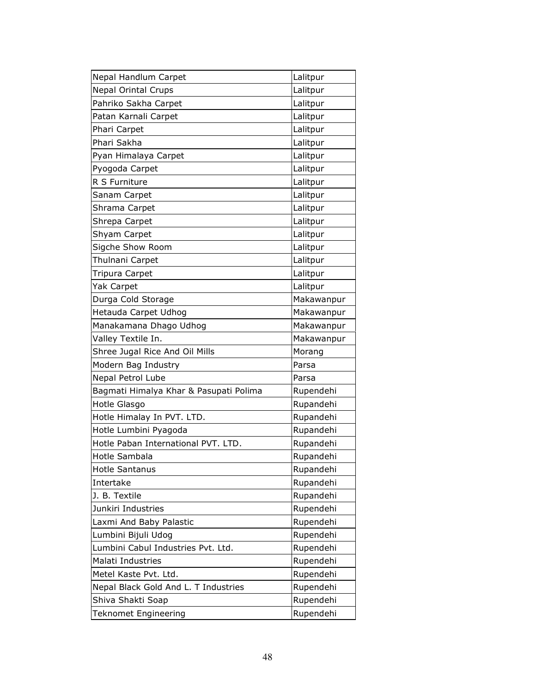| Nepal Handlum Carpet                   | Lalitpur   |
|----------------------------------------|------------|
| <b>Nepal Orintal Crups</b>             | Lalitpur   |
| Pahriko Sakha Carpet                   | Lalitpur   |
| Patan Karnali Carpet                   | Lalitpur   |
| Phari Carpet                           | Lalitpur   |
| Phari Sakha                            | Lalitpur   |
| Pyan Himalaya Carpet                   | Lalitpur   |
| Pyogoda Carpet                         | Lalitpur   |
| R S Furniture                          | Lalitpur   |
| Sanam Carpet                           | Lalitpur   |
| Shrama Carpet                          | Lalitpur   |
| Shrepa Carpet                          | Lalitpur   |
| Shyam Carpet                           | Lalitpur   |
| Sigche Show Room                       | Lalitpur   |
| Thulnani Carpet                        | Lalitpur   |
| Tripura Carpet                         | Lalitpur   |
| Yak Carpet                             | Lalitpur   |
| Durga Cold Storage                     | Makawanpur |
| Hetauda Carpet Udhog                   | Makawanpur |
| Manakamana Dhago Udhog                 | Makawanpur |
| Valley Textile In.                     | Makawanpur |
|                                        |            |
| Shree Jugal Rice And Oil Mills         | Morang     |
| Modern Bag Industry                    | Parsa      |
| Nepal Petrol Lube                      | Parsa      |
| Bagmati Himalya Khar & Pasupati Polima | Rupendehi  |
| Hotle Glasgo                           | Rupandehi  |
| Hotle Himalay In PVT. LTD.             | Rupandehi  |
| Hotle Lumbini Pyagoda                  | Rupandehi  |
| Hotle Paban International PVT. LTD.    | Rupandehi  |
| Hotle Sambala                          | Rupandehi  |
| <b>Hotle Santanus</b>                  | Rupandehi  |
| Intertake                              | Rupandehi  |
| J. B. Textile                          | Rupandehi  |
| Junkiri Industries                     | Rupendehi  |
| Laxmi And Baby Palastic                | Rupendehi  |
| Lumbini Bijuli Udog                    | Rupendehi  |
| Lumbini Cabul Industries Pvt. Ltd.     | Rupendehi  |
| Malati Industries                      | Rupendehi  |
| Metel Kaste Pvt. Ltd.                  | Rupendehi  |
| Nepal Black Gold And L. T Industries   | Rupendehi  |
| Shiva Shakti Soap                      | Rupendehi  |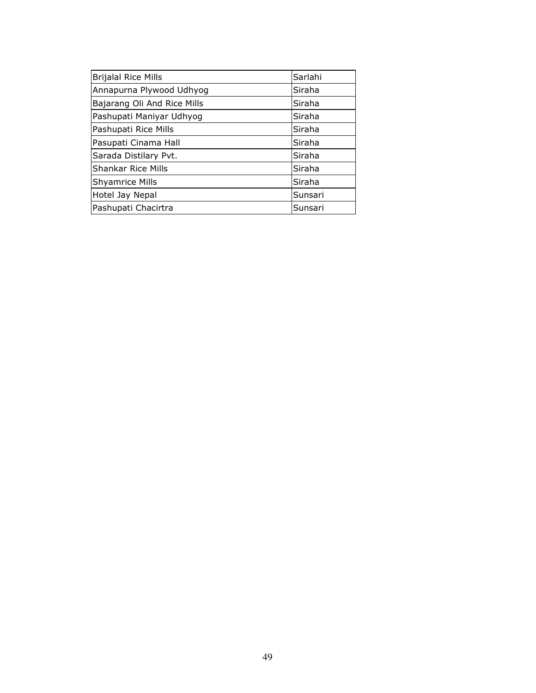| <b>Brijalal Rice Mills</b>  | Sarlahi |
|-----------------------------|---------|
| Annapurna Plywood Udhyog    | Siraha  |
| Bajarang Oli And Rice Mills | Siraha  |
| Pashupati Maniyar Udhyog    | Siraha  |
| Pashupati Rice Mills        | Siraha  |
| Pasupati Cinama Hall        | Siraha  |
| Sarada Distilary Pvt.       | Siraha  |
| <b>Shankar Rice Mills</b>   | Siraha  |
| <b>Shyamrice Mills</b>      | Siraha  |
| Hotel Jay Nepal             | Sunsari |
| Pashupati Chacirtra         | Sunsari |
|                             |         |